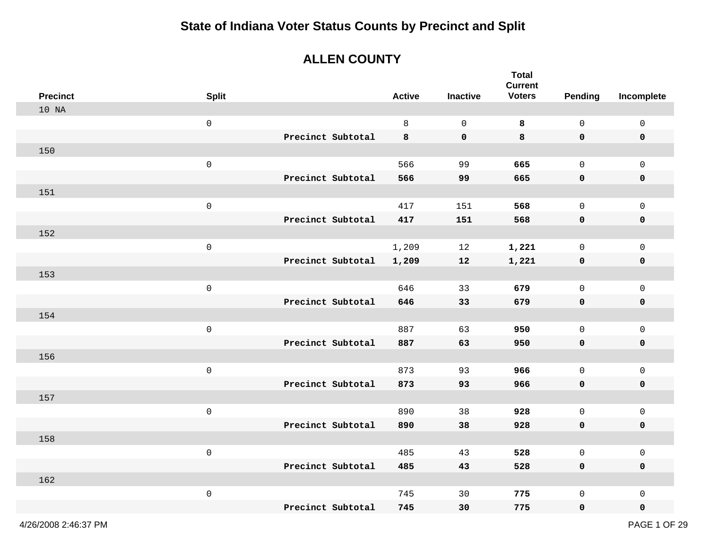#### **ALLEN COUNTY**

| <b>Precinct</b> | <b>Split</b>        |                   | <b>Active</b> | <b>Inactive</b> | <b>Total</b><br><b>Current</b><br><b>Voters</b> | <b>Pending</b> | Incomplete          |
|-----------------|---------------------|-------------------|---------------|-----------------|-------------------------------------------------|----------------|---------------------|
| 10 NA           |                     |                   |               |                 |                                                 |                |                     |
|                 |                     |                   |               |                 |                                                 |                |                     |
|                 | $\mathsf{O}\xspace$ |                   | 8             | $\mathbf 0$     | 8                                               | $\mathsf{O}$   | $\mathsf{O}\xspace$ |
|                 |                     | Precinct Subtotal | 8             | $\mathbf 0$     | 8                                               | $\mathbf 0$    | $\mathbf 0$         |
| 150             |                     |                   |               |                 |                                                 |                |                     |
|                 | $\mathsf{O}$        |                   | 566           | 99              | 665                                             | $\mathsf{O}$   | $\mathsf{O}\xspace$ |
|                 |                     | Precinct Subtotal | 566           | 99              | 665                                             | $\mathbf 0$    | $\pmb{0}$           |
| 151             |                     |                   |               |                 |                                                 |                |                     |
|                 | $\mathsf{O}\xspace$ |                   | 417           | 151             | 568                                             | $\mathsf{O}$   | $\mathsf{O}\xspace$ |
|                 |                     | Precinct Subtotal | 417           | 151             | 568                                             | $\mathbf 0$    | 0                   |
| 152             |                     |                   |               |                 |                                                 |                |                     |
|                 | $\mathsf{O}$        |                   | 1,209         | 12              | 1,221                                           | $\mathsf{O}$   | $\mathsf{O}\xspace$ |
|                 |                     | Precinct Subtotal | 1,209         | 12              | 1,221                                           | $\mathbf 0$    | $\pmb{0}$           |
| 153             |                     |                   |               |                 |                                                 |                |                     |
|                 | $\mathsf{O}\xspace$ |                   | 646           | 33              | 679                                             | $\mathsf{O}$   | $\mathsf{O}\xspace$ |
|                 |                     | Precinct Subtotal | 646           | 33              | 679                                             | $\mathbf 0$    | $\pmb{0}$           |
| 154             |                     |                   |               |                 |                                                 |                |                     |
|                 | $\mathsf{O}$        |                   | 887           | 63              | 950                                             | $\mathbf 0$    | $\mathbf 0$         |
|                 |                     | Precinct Subtotal | 887           | 63              | 950                                             | $\mathbf 0$    | $\pmb{0}$           |
| 156             |                     |                   |               |                 |                                                 |                |                     |
|                 | $\mathsf{O}\xspace$ |                   | 873           | 93              | 966                                             | $\mathsf{O}$   | $\mathsf{O}$        |
|                 |                     | Precinct Subtotal | 873           | 93              | 966                                             | 0              | 0                   |
| 157             |                     |                   |               |                 |                                                 |                |                     |
|                 | $\mathsf{O}\xspace$ |                   | 890           | 38              | 928                                             | 0              | $\mathsf{O}\xspace$ |
|                 |                     | Precinct Subtotal | 890           | 38              | 928                                             | 0              | 0                   |
| 158             |                     |                   |               |                 |                                                 |                |                     |
|                 | $\mathsf{O}\xspace$ |                   | 485           | 43              | 528                                             | $\mathsf{O}$   | $\mathsf{O}\xspace$ |
|                 |                     | Precinct Subtotal | 485           | 43              | 528                                             | $\mathbf 0$    | 0                   |
| 162             |                     |                   |               |                 |                                                 |                |                     |
|                 | $\mathsf{O}\xspace$ |                   | 745           | 30              | 775                                             | $\mathsf{O}$   | $\mathsf 0$         |
|                 |                     | Precinct Subtotal | 745           | 30              | 775                                             | $\mathbf 0$    | 0                   |
|                 |                     |                   |               |                 |                                                 |                |                     |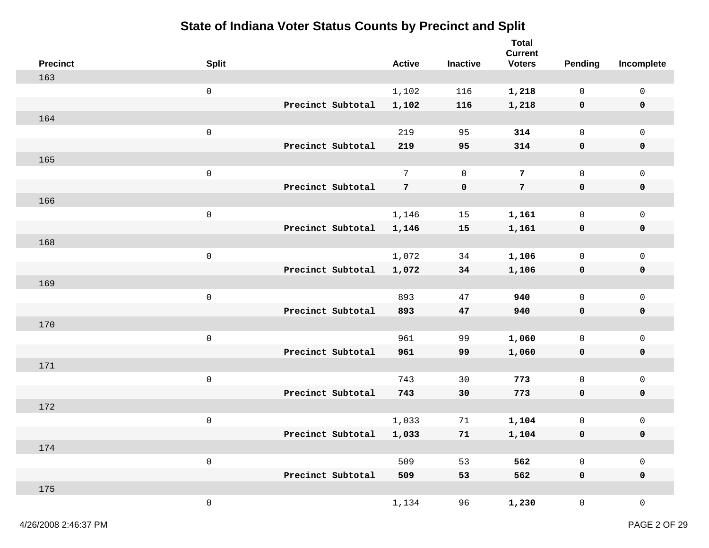|     | <b>Precinct</b> | <b>Split</b>        |                   |                   | <b>Active</b>   | <b>Inactive</b> | <b>Total</b><br><b>Current</b><br><b>Voters</b> | <b>Pending</b>      | Incomplete          |
|-----|-----------------|---------------------|-------------------|-------------------|-----------------|-----------------|-------------------------------------------------|---------------------|---------------------|
| 163 |                 |                     |                   |                   |                 |                 |                                                 |                     |                     |
|     |                 | $\mathsf{O}\xspace$ |                   |                   | 1,102           | 116             | 1,218                                           | $\mathsf{O}$        | $\mathsf 0$         |
|     |                 |                     |                   | Precinct Subtotal | 1,102           | 116             | 1,218                                           | $\mathbf 0$         | 0                   |
| 164 |                 |                     |                   |                   |                 |                 |                                                 |                     |                     |
|     |                 | $\mathsf{O}\xspace$ |                   |                   | 219             | 95              | 314                                             | $\mathsf{O}$        | $\mathsf 0$         |
|     |                 |                     |                   | Precinct Subtotal | 219             | 95              | 314                                             | $\mathbf 0$         | $\mathbf 0$         |
| 165 |                 |                     |                   |                   |                 |                 |                                                 |                     |                     |
|     |                 | $\mathsf{O}\xspace$ |                   |                   | $7\overline{ }$ | $\mathbf 0$     | 7                                               | $\mathsf{O}$        | $\mathsf{O}$        |
|     |                 |                     |                   | Precinct Subtotal | $7\overline{ }$ | 0               | $7\phantom{.0}$                                 | $\mathbf 0$         | 0                   |
|     | 166             |                     |                   |                   |                 |                 |                                                 |                     |                     |
|     |                 | $\mathsf{O}\xspace$ |                   |                   | 1,146           | 15              | 1,161                                           | $\mathsf 0$         | $\mathsf 0$         |
|     |                 |                     |                   | Precinct Subtotal | 1,146           | 15              | 1,161                                           | 0                   | 0                   |
| 168 |                 |                     |                   |                   |                 |                 |                                                 |                     |                     |
|     |                 | $\mathsf{O}\xspace$ |                   |                   | 1,072           | 34              | 1,106                                           | $\mathsf{O}$        | $\mathsf 0$         |
|     |                 |                     |                   | Precinct Subtotal | 1,072           | 34              | 1,106                                           | $\mathbf 0$         | $\mathbf 0$         |
| 169 |                 |                     |                   |                   |                 |                 |                                                 |                     |                     |
|     |                 | $\mathsf{O}\xspace$ |                   |                   | 893             | 47              | 940                                             | $\mathbf 0$         | $\mathsf{O}$        |
|     |                 |                     | Precinct Subtotal |                   | 893             | 47              | 940                                             | 0                   | 0                   |
| 170 |                 |                     |                   |                   |                 |                 |                                                 |                     |                     |
|     |                 | $\mathsf{O}\xspace$ |                   |                   | 961             | 99              | 1,060                                           | $\mathsf{O}\xspace$ | $\mathsf{O}\xspace$ |
|     |                 |                     |                   | Precinct Subtotal | 961             | 99              | 1,060                                           | $\mathbf 0$         | 0                   |
| 171 |                 |                     |                   |                   |                 |                 |                                                 |                     |                     |
|     |                 | $\mathsf{O}\xspace$ |                   |                   | 743             | 30              | 773                                             | $\mathsf{O}$        | $\mathsf 0$         |
|     |                 |                     |                   | Precinct Subtotal | 743             | 30              | 773                                             | $\mathbf 0$         | 0                   |
| 172 |                 |                     |                   |                   |                 |                 |                                                 |                     |                     |
|     |                 | $\mathsf{O}\xspace$ |                   |                   | 1,033           | 71              | 1,104                                           | $\mathsf{O}\xspace$ | $\mathsf{O}$        |
|     |                 |                     |                   | Precinct Subtotal | 1,033           | 71              | 1,104                                           | 0                   | 0                   |
|     | 174             |                     |                   |                   |                 |                 |                                                 |                     |                     |
|     |                 | $\mathsf{O}\xspace$ |                   |                   | 509             | 53              | 562                                             | $\mathsf{O}\xspace$ | $\mathsf{O}\xspace$ |
|     |                 |                     |                   | Precinct Subtotal | 509             | 53              | 562                                             | $\mathbf 0$         | $\mathbf 0$         |
|     | 175             |                     |                   |                   |                 |                 |                                                 |                     |                     |
|     |                 | $\mathsf{O}\xspace$ |                   |                   | 1,134           | 96              | 1,230                                           | $\mathsf{O}$        | $\mathsf{O}\xspace$ |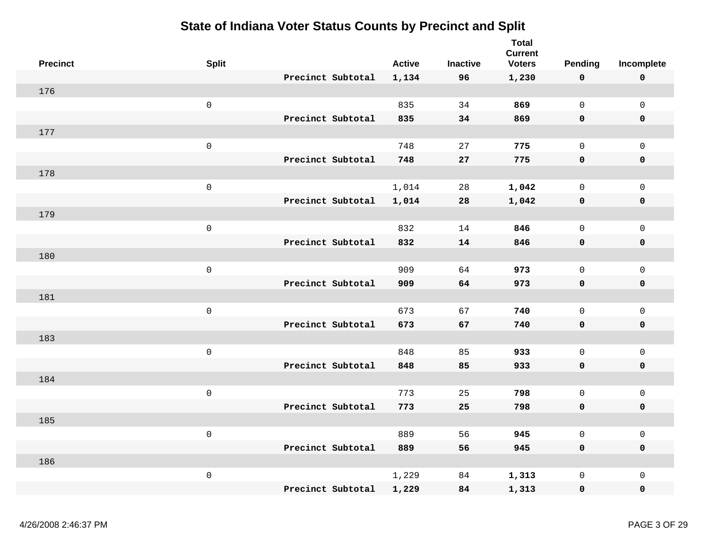| <b>Precinct</b> | <b>Split</b>        |                   | <b>Active</b> | <b>Inactive</b> | <b>Total</b><br><b>Current</b><br><b>Voters</b> | Pending             | Incomplete          |
|-----------------|---------------------|-------------------|---------------|-----------------|-------------------------------------------------|---------------------|---------------------|
|                 |                     | Precinct Subtotal | 1,134         | 96              | 1,230                                           | 0                   | $\mathbf 0$         |
| 176             |                     |                   |               |                 |                                                 |                     |                     |
|                 | $\mathsf{O}\xspace$ |                   | 835           | 34              | 869                                             | $\mathsf{O}$        | $\mathsf{O}\xspace$ |
|                 |                     | Precinct Subtotal | 835           | 34              | 869                                             | 0                   | $\mathbf 0$         |
| 177             |                     |                   |               |                 |                                                 |                     |                     |
|                 | $\mathsf{O}\xspace$ |                   | 748           | 27              | 775                                             | $\mathbf 0$         | $\mathsf{O}\xspace$ |
|                 |                     | Precinct Subtotal | 748           | ${\bf 27}$      | 775                                             | $\mathbf 0$         | $\pmb{0}$           |
| 178             |                     |                   |               |                 |                                                 |                     |                     |
|                 | $\mathsf 0$         |                   | 1,014         | 28              | 1,042                                           | $\mathsf{O}$        | $\mathsf{O}$        |
|                 |                     | Precinct Subtotal | 1,014         | 28              | 1,042                                           | 0                   | 0                   |
| 179             |                     |                   |               |                 |                                                 |                     |                     |
|                 | $\mathbf 0$         |                   | 832           | 14              | 846                                             | $\mathbf 0$         | $\mathsf{O}\xspace$ |
|                 |                     | Precinct Subtotal | 832           | 14              | 846                                             | 0                   | 0                   |
| 180             |                     |                   |               |                 |                                                 |                     |                     |
|                 | $\mathsf{O}\xspace$ |                   | 909           | 64              | 973                                             | $\mathsf{O}\xspace$ | $\mathsf{O}\xspace$ |
|                 |                     | Precinct Subtotal | 909           | 64              | 973                                             | 0                   | 0                   |
| 181             |                     |                   |               |                 |                                                 |                     |                     |
|                 | $\mathsf 0$         |                   | 673           | 67              | 740                                             | $\mathbf 0$         | $\mathsf{O}\xspace$ |
|                 |                     | Precinct Subtotal | 673           | 67              | 740                                             | 0                   | $\mathbf 0$         |
| 183             |                     |                   |               |                 |                                                 |                     |                     |
|                 | $\mathsf 0$         |                   | 848           | 85              | 933                                             | $\mathbf 0$         | $\mathsf{O}$        |
|                 |                     | Precinct Subtotal | 848           | 85              | 933                                             | 0                   | $\mathbf 0$         |
| 184             |                     |                   |               |                 |                                                 |                     |                     |
|                 | $\mathbf 0$         |                   | 773           | 25              | 798                                             | $\mathbf 0$         | $\mathbf 0$         |
|                 |                     | Precinct Subtotal | 773           | 25              | 798                                             | 0                   | $\mathbf 0$         |
| 185             |                     |                   |               |                 |                                                 |                     |                     |
|                 | $\mathsf{O}\xspace$ |                   | 889           | 56              | 945                                             | $\mathsf{O}\xspace$ | $\mathsf{O}\xspace$ |
|                 |                     | Precinct Subtotal | 889           | 56              | 945                                             | 0                   | $\mathbf 0$         |
| 186             |                     |                   |               |                 |                                                 |                     |                     |
|                 | $\mathsf{O}\xspace$ |                   | 1,229         | 84              | 1,313                                           | $\mathbf 0$         | $\mathsf{O}\xspace$ |
|                 |                     | Precinct Subtotal | 1,229         | 84              | 1,313                                           | 0                   | $\mathbf 0$         |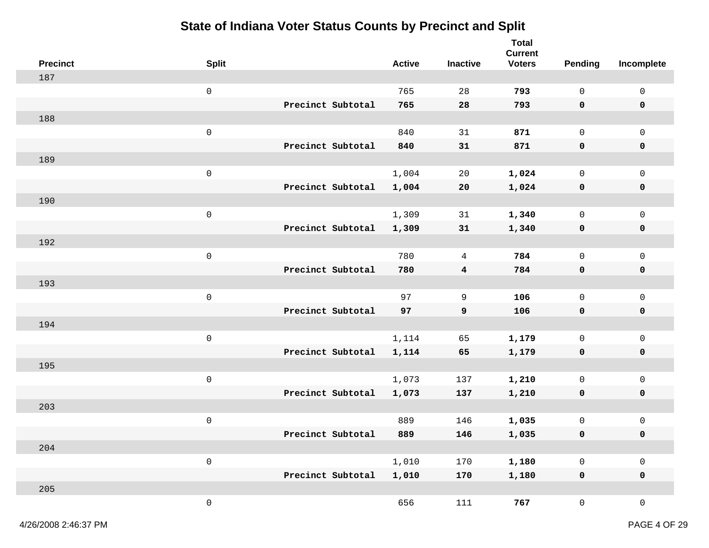| <b>Precinct</b> | <b>Split</b>        |                   | <b>Active</b> | <b>Inactive</b>         | <b>Total</b><br><b>Current</b><br><b>Voters</b> | <b>Pending</b>      | Incomplete          |
|-----------------|---------------------|-------------------|---------------|-------------------------|-------------------------------------------------|---------------------|---------------------|
| 187             |                     |                   |               |                         |                                                 |                     |                     |
|                 | $\mathbf 0$         |                   | 765           | 28                      | 793                                             | $\mathsf{O}\xspace$ | $\mathsf{O}\xspace$ |
|                 |                     | Precinct Subtotal | 765           | 28                      | 793                                             | 0                   | 0                   |
| 188             |                     |                   |               |                         |                                                 |                     |                     |
|                 | $\mathbf 0$         |                   | 840           | 31                      | 871                                             | $\mathsf{O}$        | $\mathsf{O}\xspace$ |
|                 |                     | Precinct Subtotal | 840           | 31                      | 871                                             | 0                   | $\mathbf 0$         |
| 189             |                     |                   |               |                         |                                                 |                     |                     |
|                 | $\mathbf 0$         |                   | 1,004         | 20                      | 1,024                                           | 0                   | $\mathsf{O}\xspace$ |
|                 |                     | Precinct Subtotal | 1,004         | 20                      | 1,024                                           | 0                   | $\mathbf 0$         |
| 190             |                     |                   |               |                         |                                                 |                     |                     |
|                 | $\mathsf 0$         |                   | 1,309         | 31                      | 1,340                                           | $\mathsf{O}\xspace$ | $\mathsf 0$         |
|                 |                     | Precinct Subtotal | 1,309         | 31                      | 1,340                                           | 0                   | 0                   |
| 192             |                     |                   |               |                         |                                                 |                     |                     |
|                 | $\mathbf 0$         |                   | 780           | 4                       | 784                                             | 0                   | $\mathsf{O}\xspace$ |
|                 |                     | Precinct Subtotal | 780           | $\overline{\mathbf{4}}$ | 784                                             | 0                   | $\mathbf 0$         |
| 193             |                     |                   |               |                         |                                                 |                     |                     |
|                 | $\mathbf 0$         |                   | 97            | 9                       | 106                                             | $\mathsf{O}$        | $\mathsf{O}\xspace$ |
|                 |                     | Precinct Subtotal | 97            | 9                       | 106                                             | 0                   | $\mathbf 0$         |
| 194             |                     |                   |               |                         |                                                 |                     |                     |
|                 | $\mathsf{O}\xspace$ |                   | 1,114         | 65                      | 1,179                                           | $\mathsf{O}\xspace$ | $\mathsf 0$         |
|                 |                     | Precinct Subtotal | 1,114         | 65                      | 1,179                                           | 0                   | $\pmb{0}$           |
| 195             |                     |                   |               |                         |                                                 |                     |                     |
|                 | $\mathsf 0$         |                   | 1,073         | 137                     | 1,210                                           | 0                   | $\mathsf{O}\xspace$ |
|                 |                     | Precinct Subtotal | 1,073         | 137                     | 1,210                                           | 0                   | $\mathbf 0$         |
| 203             |                     |                   |               |                         |                                                 |                     |                     |
|                 | $\mathbf 0$         |                   | 889           | 146                     | 1,035                                           | 0                   | $\mathsf{O}\xspace$ |
|                 |                     | Precinct Subtotal | 889           | 146                     | 1,035                                           | 0                   | 0                   |
| 204             |                     |                   |               |                         |                                                 |                     |                     |
|                 | $\mathsf{O}\xspace$ |                   | 1,010         | 170                     | 1,180                                           | $\mathsf{O}\xspace$ | $\mathsf 0$         |
| 205             |                     | Precinct Subtotal | 1,010         | 170                     | 1,180                                           | $\pmb{0}$           | $\mathbf 0$         |
|                 |                     |                   |               |                         |                                                 |                     |                     |
|                 | $\mathsf{O}\xspace$ |                   | 656           | 111                     | 767                                             | $\overline{0}$      | $\mathsf{O}\xspace$ |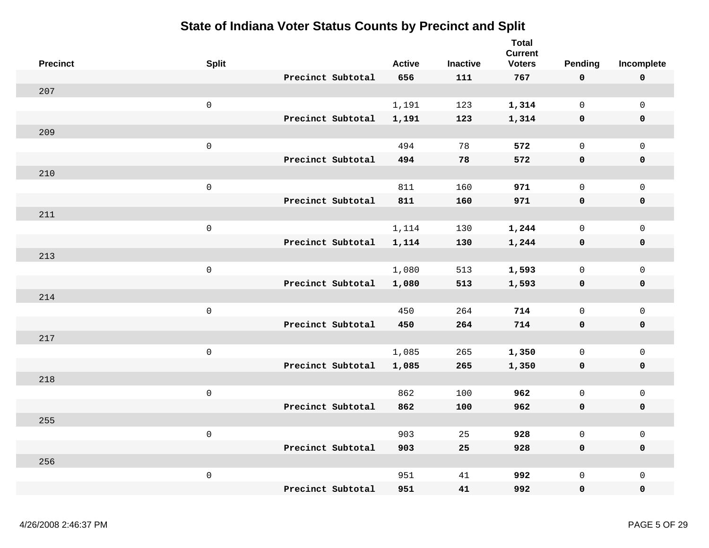| <b>Precinct</b> | <b>Split</b>        |                   | <b>Active</b> | <b>Inactive</b> | <b>Total</b><br><b>Current</b><br><b>Voters</b> | Pending             | Incomplete          |
|-----------------|---------------------|-------------------|---------------|-----------------|-------------------------------------------------|---------------------|---------------------|
|                 |                     | Precinct Subtotal | 656           | 111             | 767                                             | $\mathbf 0$         | $\mathbf 0$         |
| 207             |                     |                   |               |                 |                                                 |                     |                     |
|                 | $\mathsf{O}\xspace$ |                   | 1,191         | 123             | 1,314                                           | $\mathsf{O}$        | $\mathsf{O}\xspace$ |
|                 |                     | Precinct Subtotal | 1,191         | 123             | 1,314                                           | 0                   | 0                   |
| 209             |                     |                   |               |                 |                                                 |                     |                     |
|                 | $\mathsf{O}\xspace$ |                   | 494           | 78              | 572                                             | $\mathsf{O}$        | $\mathsf{O}$        |
|                 |                     | Precinct Subtotal | 494           | 78              | 572                                             | $\mathbf 0$         | $\mathbf 0$         |
| 210             |                     |                   |               |                 |                                                 |                     |                     |
|                 | $\mathsf{O}\xspace$ |                   | 811           | 160             | 971                                             | $\mathbf 0$         | $\mathsf{O}\xspace$ |
|                 |                     | Precinct Subtotal | 811           | 160             | 971                                             | 0                   | $\mathbf 0$         |
| 211             |                     |                   |               |                 |                                                 |                     |                     |
|                 | $\mathsf{O}\xspace$ |                   | 1,114         | 130             | 1,244                                           | 0                   | $\mathsf{O}\xspace$ |
|                 |                     | Precinct Subtotal | 1,114         | 130             | 1,244                                           | 0                   | $\pmb{0}$           |
| 213             |                     |                   |               |                 |                                                 |                     |                     |
|                 | $\mathsf{O}\xspace$ |                   | 1,080         | 513             | 1,593                                           | $\mathsf{O}\xspace$ | $\mathsf{O}\xspace$ |
|                 |                     | Precinct Subtotal | 1,080         | 513             | 1,593                                           | $\mathbf 0$         | $\pmb{0}$           |
| 214             |                     |                   |               |                 |                                                 |                     |                     |
|                 | $\mathsf{O}\xspace$ |                   | 450           | 264             | 714                                             | $\mathsf{O}\xspace$ | $\mathsf{O}\xspace$ |
|                 |                     | Precinct Subtotal | 450           | 264             | 714                                             | $\mathbf 0$         | $\mathbf 0$         |
| 217             |                     |                   |               |                 |                                                 |                     |                     |
|                 | $\mathsf{O}\xspace$ |                   | 1,085         | 265             | 1,350                                           | $\mathbf 0$         | $\mathsf{O}$        |
|                 |                     | Precinct Subtotal | 1,085         | 265             | 1,350                                           | $\mathbf 0$         | $\mathbf 0$         |
| 218             |                     |                   |               |                 |                                                 |                     |                     |
|                 | $\mathsf{O}\xspace$ |                   | 862           | 100             | 962                                             | $\mathsf{O}$        | $\mathsf{O}\xspace$ |
|                 |                     | Precinct Subtotal | 862           | 100             | 962                                             | $\mathbf 0$         | 0                   |
| 255             |                     |                   |               |                 |                                                 |                     |                     |
|                 | $\mathsf{O}\xspace$ |                   | 903           | 25              | 928                                             | $\mathsf{O}\xspace$ | $\mathsf{O}\xspace$ |
|                 |                     | Precinct Subtotal | 903           | 25              | 928                                             | $\mathbf 0$         | $\mathbf 0$         |
| 256             |                     |                   |               |                 |                                                 |                     |                     |
|                 | $\mathsf{O}\xspace$ |                   | 951           | 41              | 992                                             | $\mathbf 0$         | $\mathsf{O}\xspace$ |
|                 |                     | Precinct Subtotal | 951           | 41              | 992                                             | 0                   | 0                   |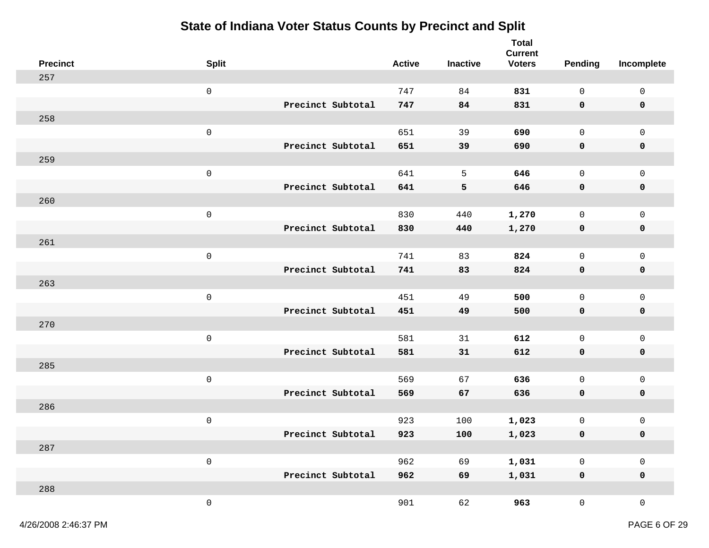| <b>Precinct</b> | <b>Split</b>        |                   | <b>Active</b> | Inactive | <b>Total</b><br><b>Current</b><br><b>Voters</b> | <b>Pending</b>      | Incomplete          |
|-----------------|---------------------|-------------------|---------------|----------|-------------------------------------------------|---------------------|---------------------|
| 257             |                     |                   |               |          |                                                 |                     |                     |
|                 | $\mathbf 0$         |                   | 747           | 84       | 831                                             | $\mathsf{O}$        | $\mathsf 0$         |
|                 |                     | Precinct Subtotal | 747           | 84       | 831                                             | $\mathbf 0$         | 0                   |
| 258             |                     |                   |               |          |                                                 |                     |                     |
|                 | $\mathbf 0$         |                   | 651           | 39       | 690                                             | $\mathsf{O}$        | $\mathsf{O}$        |
|                 |                     | Precinct Subtotal | 651           | 39       | 690                                             | $\mathbf 0$         | $\mathbf 0$         |
| 259             |                     |                   |               |          |                                                 |                     |                     |
|                 | $\mathsf 0$         |                   | 641           | 5        | 646                                             | $\mathbf 0$         | $\mathsf{O}$        |
|                 |                     | Precinct Subtotal | 641           | 5        | 646                                             | 0                   | 0                   |
| 260             |                     |                   |               |          |                                                 |                     |                     |
|                 | $\mathsf{O}\xspace$ |                   | 830           | 440      | 1,270                                           | $\mathsf{O}$        | $\mathsf{O}\xspace$ |
|                 |                     | Precinct Subtotal | 830           | 440      | 1,270                                           | 0                   | 0                   |
| 261             |                     |                   |               |          |                                                 |                     |                     |
|                 | $\mathsf 0$         |                   | 741           | 83       | 824                                             | $\mathsf{O}$        | $\mathsf 0$         |
|                 |                     | Precinct Subtotal | 741           | 83       | 824                                             | 0                   | 0                   |
| 263             |                     |                   |               |          |                                                 |                     |                     |
|                 | $\mathsf 0$         |                   | 451           | 49       | 500                                             | $\mathbf 0$         | $\mathsf 0$         |
|                 |                     | Precinct Subtotal | 451           | 49       | 500                                             | $\mathbf 0$         | 0                   |
| 270             |                     |                   |               |          |                                                 |                     |                     |
|                 | $\mathsf{O}\xspace$ |                   | 581           | 31       | 612                                             | $\mathsf{O}\xspace$ | $\mathsf 0$         |
|                 |                     | Precinct Subtotal | 581           | 31       | 612                                             | 0                   | 0                   |
| 285             |                     |                   |               |          |                                                 |                     |                     |
|                 | $\mathbf 0$         |                   | 569           | 67       | 636                                             | $\mathsf{O}$        | $\mathsf{O}\xspace$ |
|                 |                     | Precinct Subtotal | 569           | 67       | 636                                             | $\mathbf 0$         | $\mathbf 0$         |
| 286             |                     |                   |               |          |                                                 |                     |                     |
|                 | $\mathsf 0$         |                   | 923           | 100      | 1,023                                           | 0                   | $\mathsf 0$         |
|                 |                     | Precinct Subtotal | 923           | 100      | 1,023                                           | 0                   | 0                   |
| 287             |                     |                   |               |          |                                                 |                     |                     |
|                 | $\mathsf{O}\xspace$ | Precinct Subtotal | 962           | 69       | 1,031                                           | $\mathsf{O}\xspace$ | $\mathsf 0$         |
| 288             |                     |                   | 962           | 69       | 1,031                                           | $\mathbf 0$         | $\mathbf 0$         |
|                 | $\mathsf{O}\xspace$ |                   | 901           | 62       | 963                                             | $\mathsf{O}$        | $\mathsf{O}\xspace$ |
|                 |                     |                   |               |          |                                                 |                     |                     |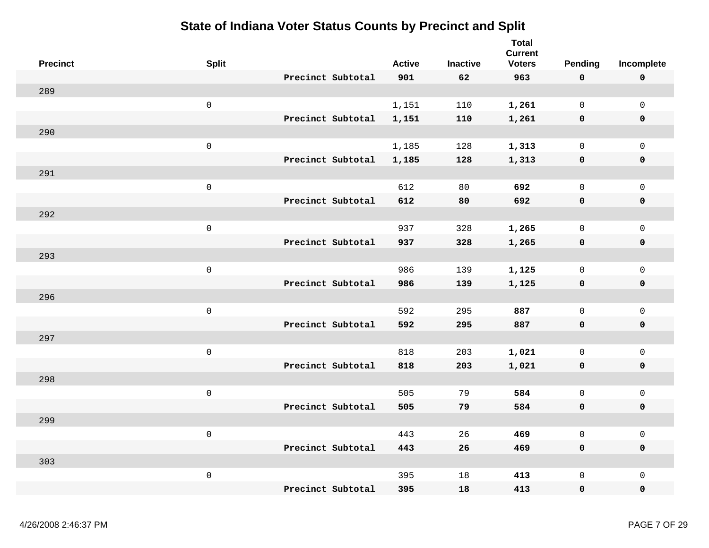| <b>Precinct</b> | <b>Split</b>        |                   | <b>Active</b> | <b>Inactive</b> | <b>Total</b><br><b>Current</b><br><b>Voters</b> | Pending             | Incomplete          |
|-----------------|---------------------|-------------------|---------------|-----------------|-------------------------------------------------|---------------------|---------------------|
|                 |                     | Precinct Subtotal | 901           | 62              | 963                                             | $\mathbf 0$         | $\pmb{0}$           |
| 289             |                     |                   |               |                 |                                                 |                     |                     |
|                 | $\mathsf{O}\xspace$ |                   | 1,151         | 110             | 1,261                                           | $\overline{0}$      | $\mathsf 0$         |
|                 |                     | Precinct Subtotal | 1,151         | 110             | 1,261                                           | $\mathbf 0$         | $\mathbf 0$         |
| 290             |                     |                   |               |                 |                                                 |                     |                     |
|                 | $\mathsf{O}\xspace$ |                   | 1,185         | 128             | 1,313                                           | $\mathbf 0$         | $\mathsf{O}\xspace$ |
|                 |                     | Precinct Subtotal | 1,185         | 128             | 1,313                                           | $\mathbf 0$         | $\mathbf 0$         |
| 291             |                     |                   |               |                 |                                                 |                     |                     |
|                 | $\mathsf{O}\xspace$ |                   | 612           | 80              | 692                                             | $\mathbf 0$         | $\mathbf 0$         |
|                 |                     | Precinct Subtotal | 612           | 80              | 692                                             | $\mathbf 0$         | $\mathbf 0$         |
| 292             |                     |                   |               |                 |                                                 |                     |                     |
|                 | $\mathsf{O}\xspace$ |                   | 937           | 328             | 1,265                                           | $\mathsf{O}$        | $\mathsf{O}\xspace$ |
|                 |                     | Precinct Subtotal | 937           | 328             | 1,265                                           | $\mathbf 0$         | $\pmb{0}$           |
| 293             |                     |                   |               |                 |                                                 |                     |                     |
|                 | $\mathsf{O}\xspace$ |                   | 986           | 139             | 1,125                                           | $\mathsf{O}$        | $\mathsf 0$         |
|                 |                     | Precinct Subtotal | 986           | 139             | 1,125                                           | $\mathbf 0$         | $\pmb{0}$           |
| 296             |                     |                   |               |                 |                                                 |                     |                     |
|                 | $\mathsf{O}\xspace$ |                   | 592           | 295             | 887                                             | $\mathbf 0$         | $\mathsf 0$         |
|                 |                     | Precinct Subtotal | 592           | 295             | 887                                             | $\mathbf 0$         | $\mathbf 0$         |
| 297             |                     |                   |               |                 |                                                 |                     |                     |
|                 | $\mathsf{O}\xspace$ |                   | 818           | 203             | 1,021                                           | $\mathsf{O}$        | $\mathsf 0$         |
|                 |                     | Precinct Subtotal | 818           | 203             | 1,021                                           | $\mathbf 0$         | $\mathbf 0$         |
| 298             |                     |                   |               |                 |                                                 |                     |                     |
|                 | $\mathsf{O}\xspace$ |                   | 505           | 79              | 584                                             | $\mathsf{O}\xspace$ | $\mathsf 0$         |
|                 |                     | Precinct Subtotal | 505           | 79              | 584                                             | $\mathbf 0$         | $\pmb{0}$           |
| 299             |                     |                   |               |                 |                                                 |                     |                     |
|                 | $\mathsf{O}\xspace$ |                   | 443           | 26              | 469                                             | $\mathsf{O}\xspace$ | $\mathsf{O}\xspace$ |
|                 |                     | Precinct Subtotal | 443           | 26              | 469                                             | $\mathbf 0$         | $\mathbf 0$         |
| 303             |                     |                   |               |                 |                                                 |                     |                     |
|                 | $\mathsf{O}\xspace$ |                   | 395           | 18              | 413                                             | $\mathsf{O}$        | $\mathsf 0$         |
|                 |                     | Precinct Subtotal | 395           | 18              | 413                                             | $\mathbf 0$         | 0                   |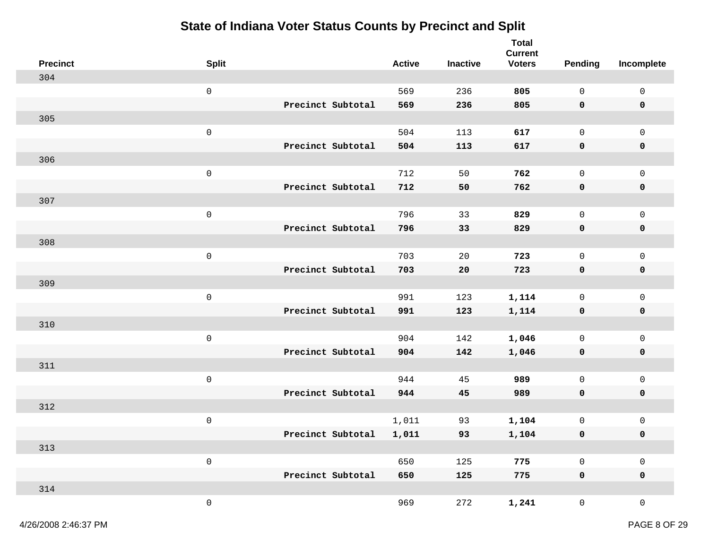| <b>Precinct</b> | <b>Split</b>        |                   | <b>Active</b> | Inactive | <b>Total</b><br><b>Current</b><br><b>Voters</b> | <b>Pending</b>      | Incomplete          |
|-----------------|---------------------|-------------------|---------------|----------|-------------------------------------------------|---------------------|---------------------|
| 304             |                     |                   |               |          |                                                 |                     |                     |
|                 | $\mathbf 0$         |                   | 569           | 236      | 805                                             | $\mathsf{O}$        | $\mathsf 0$         |
|                 |                     | Precinct Subtotal | 569           | 236      | 805                                             | $\mathbf 0$         | 0                   |
| 305             |                     |                   |               |          |                                                 |                     |                     |
|                 | $\mathbf 0$         |                   | 504           | 113      | 617                                             | $\mathsf{O}$        | $\mathsf{O}$        |
|                 |                     | Precinct Subtotal | 504           | 113      | 617                                             | $\mathbf 0$         | $\mathbf 0$         |
| 306             |                     |                   |               |          |                                                 |                     |                     |
|                 | $\mathsf 0$         |                   | 712           | 50       | 762                                             | $\mathbf 0$         | $\mathsf{O}$        |
|                 |                     | Precinct Subtotal | 712           | 50       | 762                                             | $\mathbf 0$         | 0                   |
| 307             |                     |                   |               |          |                                                 |                     |                     |
|                 | $\mathsf{O}\xspace$ |                   | 796           | 33       | 829                                             | $\mathsf{O}$        | $\mathsf{O}\xspace$ |
|                 |                     | Precinct Subtotal | 796           | 33       | 829                                             | 0                   | 0                   |
| 308             |                     |                   |               |          |                                                 |                     |                     |
|                 | $\mathsf 0$         |                   | 703           | 20       | 723                                             | $\mathsf{O}$        | $\mathsf 0$         |
|                 |                     | Precinct Subtotal | 703           | 20       | 723                                             | 0                   | 0                   |
| 309             |                     |                   |               |          |                                                 |                     |                     |
|                 | $\mathsf 0$         |                   | 991           | 123      | 1,114                                           | $\mathbf 0$         | $\mathsf 0$         |
|                 |                     | Precinct Subtotal | 991           | 123      | 1,114                                           | $\mathbf 0$         | 0                   |
| 310             |                     |                   |               |          |                                                 |                     |                     |
|                 | $\mathsf{O}\xspace$ |                   | 904           | 142      | 1,046                                           | $\mathsf{O}\xspace$ | $\mathsf 0$         |
|                 |                     | Precinct Subtotal | 904           | 142      | 1,046                                           | 0                   | 0                   |
| 311             |                     |                   |               |          |                                                 |                     |                     |
|                 | $\mathsf{O}\xspace$ |                   | 944           | 45       | 989                                             | $\mathsf{O}$        | $\mathsf{O}\xspace$ |
|                 |                     | Precinct Subtotal | 944           | 45       | 989                                             | $\mathbf 0$         | $\mathbf 0$         |
| 312             |                     |                   |               |          |                                                 |                     |                     |
|                 | $\mathsf 0$         |                   | 1,011         | 93       | 1,104                                           | 0                   | $\mathsf 0$         |
|                 |                     | Precinct Subtotal | 1,011         | 93       | 1,104                                           | 0                   | 0                   |
| 313             |                     |                   |               |          |                                                 |                     |                     |
|                 | $\mathsf{O}\xspace$ |                   | 650           | 125      | 775                                             | $\mathsf{O}\xspace$ | $\mathsf{O}\xspace$ |
|                 |                     | Precinct Subtotal | 650           | 125      | 775                                             | $\mathbf 0$         | $\mathbf 0$         |
| 314             |                     |                   |               |          |                                                 |                     |                     |
|                 | $\mathsf{O}\xspace$ |                   | 969           | 272      | 1,241                                           | $\mathsf{O}$        | $\mathsf{O}\xspace$ |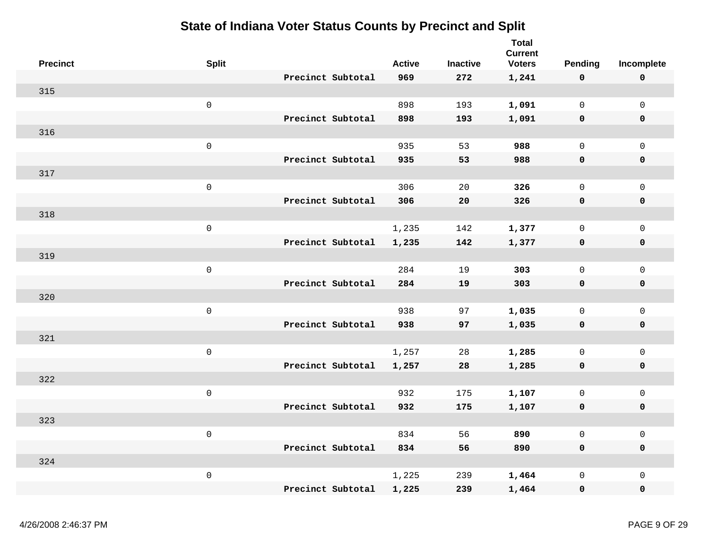| <b>Precinct</b> | <b>Split</b>        |                   | <b>Active</b> | <b>Inactive</b> | <b>Total</b><br><b>Current</b><br><b>Voters</b> | <b>Pending</b>      | Incomplete          |
|-----------------|---------------------|-------------------|---------------|-----------------|-------------------------------------------------|---------------------|---------------------|
|                 |                     | Precinct Subtotal | 969           | 272             | 1,241                                           | $\mathbf 0$         | $\mathbf 0$         |
| 315             |                     |                   |               |                 |                                                 |                     |                     |
|                 | $\mathsf{O}\xspace$ |                   | 898           | 193             | 1,091                                           | $\overline{0}$      | $\mathsf{O}\xspace$ |
|                 |                     | Precinct Subtotal | 898           | 193             | 1,091                                           | $\mathbf 0$         | 0                   |
| 316             |                     |                   |               |                 |                                                 |                     |                     |
|                 | $\mathsf{O}\xspace$ |                   | 935           | 53              | 988                                             | $\mathbf 0$         | $\mathsf{O}\xspace$ |
|                 |                     | Precinct Subtotal | 935           | 53              | 988                                             | $\mathbf 0$         | $\mathbf 0$         |
| 317             |                     |                   |               |                 |                                                 |                     |                     |
|                 | $\mathsf 0$         |                   | 306           | 20              | 326                                             | $\mathbf 0$         | $\mathsf{O}\xspace$ |
|                 |                     | Precinct Subtotal | 306           | 20              | 326                                             | 0                   | $\mathbf 0$         |
| 318             |                     |                   |               |                 |                                                 |                     |                     |
|                 | $\mathsf 0$         |                   | 1,235         | 142             | 1,377                                           | 0                   | $\mathsf{O}\xspace$ |
|                 |                     | Precinct Subtotal | 1,235         | 142             | 1,377                                           | 0                   | $\pmb{0}$           |
| 319             |                     |                   |               |                 |                                                 |                     |                     |
|                 | $\mathsf 0$         |                   | 284           | 19              | 303                                             | $\mathsf{O}\xspace$ | $\mathsf{O}\xspace$ |
|                 |                     | Precinct Subtotal | 284           | 19              | 303                                             | $\mathbf 0$         | $\pmb{0}$           |
| 320             |                     |                   |               |                 |                                                 |                     |                     |
|                 | $\mathsf{O}\xspace$ |                   | 938           | 97              | 1,035                                           | $\mathsf{O}\xspace$ | $\mathsf{O}\xspace$ |
|                 |                     | Precinct Subtotal | 938           | 97              | 1,035                                           | $\mathbf 0$         | $\mathbf 0$         |
| 321             |                     |                   |               |                 |                                                 |                     |                     |
|                 | $\mathsf 0$         |                   | 1,257         | 28              | 1,285                                           | $\mathsf{O}$        | $\mathsf{O}$        |
|                 |                     | Precinct Subtotal | 1,257         | 28              | 1,285                                           | $\mathbf 0$         | $\mathbf 0$         |
| 322             |                     |                   |               |                 |                                                 |                     |                     |
|                 | $\mathsf{O}\xspace$ |                   | 932           | 175             | 1,107                                           | $\mathsf{O}$        | $\mathsf{O}\xspace$ |
|                 |                     | Precinct Subtotal | 932           | 175             | 1,107                                           | $\mathbf 0$         | 0                   |
| 323             |                     |                   |               |                 |                                                 |                     |                     |
|                 | $\mathsf 0$         |                   | 834           | 56              | 890                                             | $\mathsf 0$         | $\mathsf{O}\xspace$ |
|                 |                     | Precinct Subtotal | 834           | 56              | 890                                             | $\mathbf 0$         | $\mathbf 0$         |
| 324             |                     |                   |               |                 |                                                 |                     |                     |
|                 | $\mathsf{O}\xspace$ |                   | 1,225         | 239             | 1,464                                           | $\mathbf 0$         | $\mathsf{O}\xspace$ |
|                 |                     | Precinct Subtotal | 1,225         | 239             | 1,464                                           | $\mathbf 0$         | 0                   |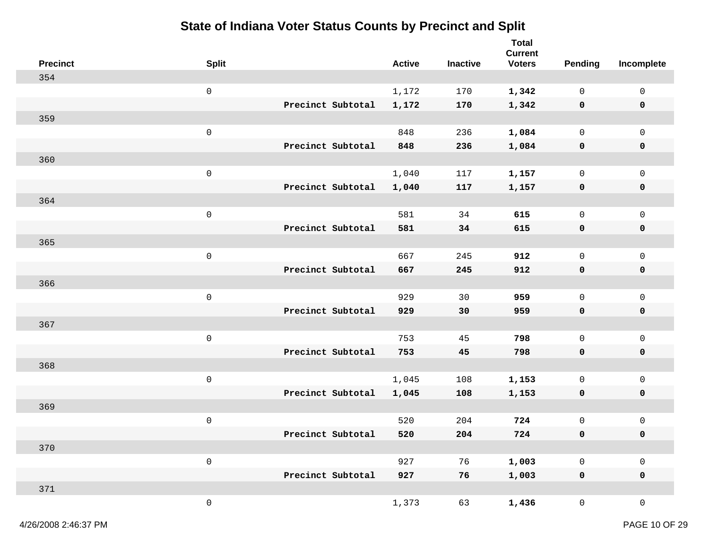| <b>Precinct</b> | <b>Split</b>        |                   |                   | <b>Active</b> | <b>Inactive</b> | <b>Total</b><br><b>Current</b><br><b>Voters</b> | <b>Pending</b>      | Incomplete          |
|-----------------|---------------------|-------------------|-------------------|---------------|-----------------|-------------------------------------------------|---------------------|---------------------|
| 354             |                     |                   |                   |               |                 |                                                 |                     |                     |
|                 | $\mathsf{O}\xspace$ |                   |                   | 1,172         | 170             | 1,342                                           | $\mathsf{O}$        | $\mathsf{O}\xspace$ |
|                 |                     |                   | Precinct Subtotal | 1,172         | 170             | 1,342                                           | 0                   | 0                   |
| 359             |                     |                   |                   |               |                 |                                                 |                     |                     |
|                 | $\mathsf{O}\xspace$ |                   |                   | 848           | 236             | 1,084                                           | $\mathsf{O}$        | $\mathsf{O}\xspace$ |
|                 |                     | Precinct Subtotal |                   | 848           | 236             | 1,084                                           | 0                   | $\mathbf 0$         |
| 360             |                     |                   |                   |               |                 |                                                 |                     |                     |
|                 | $\mathsf{O}\xspace$ |                   |                   | 1,040         | 117             | 1,157                                           | 0                   | $\mathsf{O}\xspace$ |
|                 |                     | Precinct Subtotal |                   | 1,040         | 117             | 1,157                                           | 0                   | 0                   |
| 364             |                     |                   |                   |               |                 |                                                 |                     |                     |
|                 | $\mathsf{O}\xspace$ |                   |                   | 581           | 34              | 615                                             | $\mathsf{O}$        | $\mathsf 0$         |
|                 |                     | Precinct Subtotal |                   | 581           | 34              | 615                                             | 0                   | 0                   |
| 365             |                     |                   |                   |               |                 |                                                 |                     |                     |
|                 | $\mathsf{O}\xspace$ |                   |                   | 667           | 245             | 912                                             | $\mathsf{O}$        | $\mathsf 0$         |
|                 |                     | Precinct Subtotal |                   | 667           | 245             | 912                                             | 0                   | $\mathbf 0$         |
| 366             |                     |                   |                   |               |                 |                                                 |                     |                     |
|                 | $\mathsf{O}\xspace$ | Precinct Subtotal |                   | 929           | 30              | 959                                             | $\mathsf{O}$        | $\mathsf 0$         |
| 367             |                     |                   |                   | 929           | 30              | 959                                             | 0                   | $\mathbf 0$         |
|                 | $\mathsf{O}\xspace$ |                   |                   | 753           | 45              | 798                                             | $\mathsf{O}\xspace$ | $\mathsf 0$         |
|                 |                     | Precinct Subtotal |                   | 753           | 45              | 798                                             | 0                   | 0                   |
| 368             |                     |                   |                   |               |                 |                                                 |                     |                     |
|                 | $\mathsf{O}\xspace$ |                   |                   | 1,045         | 108             | 1,153                                           | 0                   | 0                   |
|                 |                     | Precinct Subtotal |                   | 1,045         | 108             | 1,153                                           | 0                   | $\mathbf 0$         |
| 369             |                     |                   |                   |               |                 |                                                 |                     |                     |
|                 | $\mathsf{O}\xspace$ |                   |                   | 520           | 204             | 724                                             | 0                   | 0                   |
|                 |                     | Precinct Subtotal |                   | 520           | 204             | 724                                             | 0                   | 0                   |
| 370             |                     |                   |                   |               |                 |                                                 |                     |                     |
|                 | $\mathsf{O}\xspace$ |                   |                   | 927           | 76              | 1,003                                           | $\mathsf{O}\xspace$ | $\mathsf 0$         |
|                 |                     | Precinct Subtotal |                   | 927           | 76              | 1,003                                           | $\pmb{0}$           | $\pmb{0}$           |
| 371             |                     |                   |                   |               |                 |                                                 |                     |                     |
|                 | $\mathsf{O}\xspace$ |                   |                   | 1,373         | 63              | 1,436                                           | $\overline{0}$      | $\mathsf{O}\xspace$ |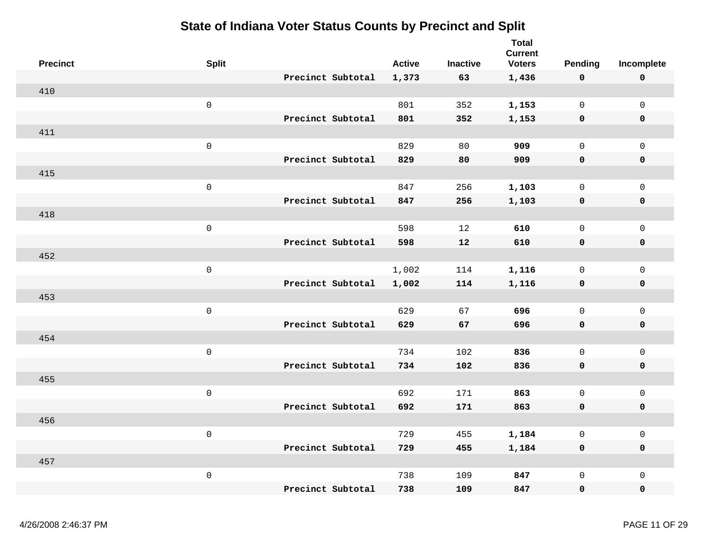| <b>Precinct</b> | <b>Split</b>        |                   | <b>Active</b> | <b>Inactive</b> | <b>Total</b><br><b>Current</b><br><b>Voters</b> | <b>Pending</b>      | Incomplete          |
|-----------------|---------------------|-------------------|---------------|-----------------|-------------------------------------------------|---------------------|---------------------|
|                 |                     | Precinct Subtotal | 1,373         | 63              | 1,436                                           | 0                   | $\mathbf 0$         |
| 410             |                     |                   |               |                 |                                                 |                     |                     |
|                 | $\mathsf 0$         |                   | 801           | 352             | 1,153                                           | $\mathsf{O}\xspace$ | $\mathsf{O}\xspace$ |
|                 |                     | Precinct Subtotal | 801           | 352             | 1,153                                           | $\mathbf 0$         | $\mathbf 0$         |
| 411             |                     |                   |               |                 |                                                 |                     |                     |
|                 | $\mathsf{O}\xspace$ |                   | 829           | 80              | 909                                             | $\mathbf 0$         | $\mathsf{O}\xspace$ |
|                 |                     | Precinct Subtotal |               |                 |                                                 | $\mathbf 0$         |                     |
|                 |                     |                   | 829           | 80              | 909                                             |                     | $\pmb{0}$           |
| 415             |                     |                   |               |                 |                                                 |                     |                     |
|                 | $\mathsf 0$         |                   | 847           | 256             | 1,103                                           | $\mathsf{O}\xspace$ | $\mathsf 0$         |
|                 |                     | Precinct Subtotal | 847           | 256             | 1,103                                           | 0                   | $\mathbf 0$         |
| 418             |                     |                   |               |                 |                                                 |                     |                     |
|                 | $\mathbf 0$         |                   | 598           | 12              | 610                                             | $\mathsf 0$         | $\mathsf 0$         |
|                 |                     | Precinct Subtotal | 598           | 12              | 610                                             | 0                   | $\mathbf 0$         |
| 452             |                     |                   |               |                 |                                                 |                     |                     |
|                 | $\mathsf{O}\xspace$ |                   | 1,002         | 114             | 1,116                                           | $\mathsf{O}\xspace$ | $\mathsf{O}\xspace$ |
|                 |                     | Precinct Subtotal | 1,002         | 114             | 1,116                                           | $\mathbf 0$         | $\pmb{0}$           |
| 453             |                     |                   |               |                 |                                                 |                     |                     |
|                 | $\mathsf{O}\xspace$ |                   | 629           | 67              | 696                                             | $\mathbf 0$         | $\mathsf{O}\xspace$ |
|                 |                     | Precinct Subtotal | 629           | 67              | 696                                             | $\mathbf 0$         | $\mathbf 0$         |
| 454             |                     |                   |               |                 |                                                 |                     |                     |
|                 | $\mathsf{O}\xspace$ |                   | 734           | 102             | 836                                             | $\mathbf 0$         | $\mathsf{O}$        |
|                 |                     | Precinct Subtotal | 734           | 102             | 836                                             | 0                   | $\mathbf 0$         |
| 455             |                     |                   |               |                 |                                                 |                     |                     |
|                 | $\mathbf 0$         |                   | 692           | 171             | 863                                             | $\mathsf{O}\xspace$ | $\mathsf 0$         |
|                 |                     | Precinct Subtotal | 692           | 171             | 863                                             | 0                   | $\mathbf 0$         |
| 456             |                     |                   |               |                 |                                                 |                     |                     |
|                 | $\mathsf 0$         |                   | 729           | 455             | 1,184                                           | $\mathsf 0$         | $\mathsf{O}\xspace$ |
|                 |                     | Precinct Subtotal | 729           | 455             | 1,184                                           | $\mathbf 0$         | $\mathbf 0$         |
| 457             |                     |                   |               |                 |                                                 |                     |                     |
|                 | $\mathsf 0$         |                   | 738           | 109             | 847                                             | $\mathsf{O}\xspace$ | $\mathsf 0$         |
|                 |                     | Precinct Subtotal | 738           | 109             | 847                                             | 0                   | $\mathbf 0$         |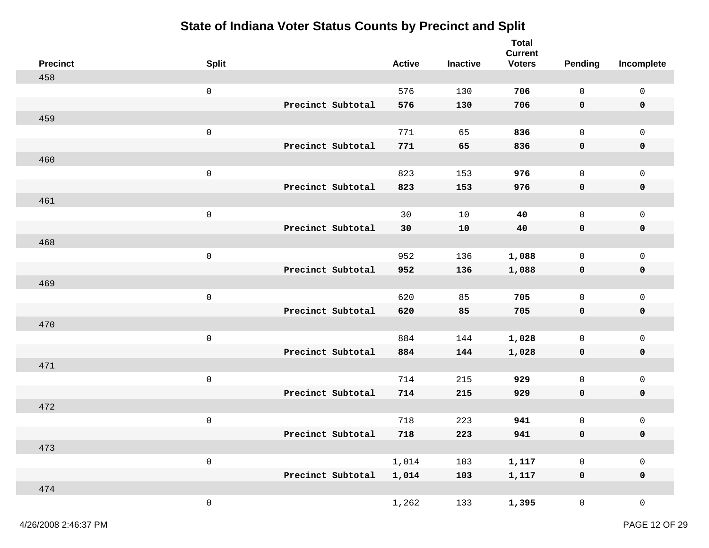| <b>Precinct</b> | <b>Split</b>        |                   | <b>Active</b> | <b>Inactive</b> | <b>Total</b><br><b>Current</b><br><b>Voters</b> | <b>Pending</b>      | Incomplete                 |
|-----------------|---------------------|-------------------|---------------|-----------------|-------------------------------------------------|---------------------|----------------------------|
| 458             |                     |                   |               |                 |                                                 |                     |                            |
|                 | $\mathbf 0$         |                   | 576           | 130             | 706                                             | $\mathsf{O}$        | $\mathsf{O}\xspace$        |
|                 |                     | Precinct Subtotal | 576           | 130             | 706                                             | 0                   | 0                          |
| 459             |                     |                   |               |                 |                                                 |                     |                            |
|                 | $\mathbf 0$         |                   | 771           | 65              | 836                                             | $\mathsf{O}$        | $\mathsf{O}\xspace$        |
|                 |                     | Precinct Subtotal | 771           | 65              | 836                                             | 0                   | $\mathbf 0$                |
| 460             |                     |                   |               |                 |                                                 |                     |                            |
|                 | $\mathsf 0$         |                   | 823           | 153             | 976                                             | $\mathsf{O}$        | $\mathsf{O}\xspace$        |
|                 |                     | Precinct Subtotal | 823           | 153             | 976                                             | 0                   | $\mathbf 0$                |
| 461             |                     |                   |               |                 |                                                 |                     |                            |
|                 | $\mathsf 0$         |                   | 30            | 10              | 40                                              | $\mathsf{O}$        | $\mathsf 0$                |
|                 |                     | Precinct Subtotal | 30            | 10              | 40                                              | 0                   | $\pmb{0}$                  |
| 468             |                     |                   |               |                 |                                                 |                     |                            |
|                 | $\mathbf 0$         |                   | 952           | 136             | 1,088                                           | $\mathsf{O}$        | $\mathsf 0$                |
|                 |                     | Precinct Subtotal | 952           | 136             | 1,088                                           | 0                   | $\mathbf 0$                |
| 469             |                     |                   |               |                 |                                                 |                     |                            |
|                 | $\mathbf 0$         |                   | 620           | 85              | 705                                             | $\mathsf{O}$        | $\mathsf{O}\xspace$        |
|                 |                     | Precinct Subtotal | 620           | 85              | 705                                             | 0                   | $\mathbf 0$                |
| 470             |                     |                   |               |                 |                                                 |                     |                            |
|                 | $\mathsf{O}\xspace$ |                   | 884           | 144             | 1,028                                           | $\mathsf 0$         | $\mathsf 0$                |
|                 |                     | Precinct Subtotal | 884           | 144             | 1,028                                           | 0                   | $\pmb{0}$                  |
| 471             |                     |                   |               |                 |                                                 |                     |                            |
|                 | $\mathbf 0$         |                   | 714           | 215             | 929                                             | $\mathsf{O}$        | $\mathsf{O}\xspace$        |
|                 |                     | Precinct Subtotal | 714           | 215             | 929                                             | 0                   | $\mathbf 0$                |
| 472             |                     |                   |               |                 |                                                 |                     |                            |
|                 | $\mathsf 0$         |                   | 718           | 223             | 941                                             | $\mathsf 0$         | $\mathsf 0$                |
| 473             |                     | Precinct Subtotal | 718           | 223             | 941                                             | 0                   | 0                          |
|                 | $\mathsf{O}\xspace$ |                   | $1\,,\,014$   | 103             |                                                 | $\mathsf{O}\xspace$ |                            |
|                 |                     | Precinct Subtotal | 1,014         | 103             | 1,117<br>1,117                                  | $\pmb{0}$           | $\mathsf 0$<br>$\mathbf 0$ |
| 474             |                     |                   |               |                 |                                                 |                     |                            |
|                 | $\mathsf{O}\xspace$ |                   | 1,262         | 133             | 1,395                                           | $\overline{0}$      | $\mathsf{O}\xspace$        |
|                 |                     |                   |               |                 |                                                 |                     |                            |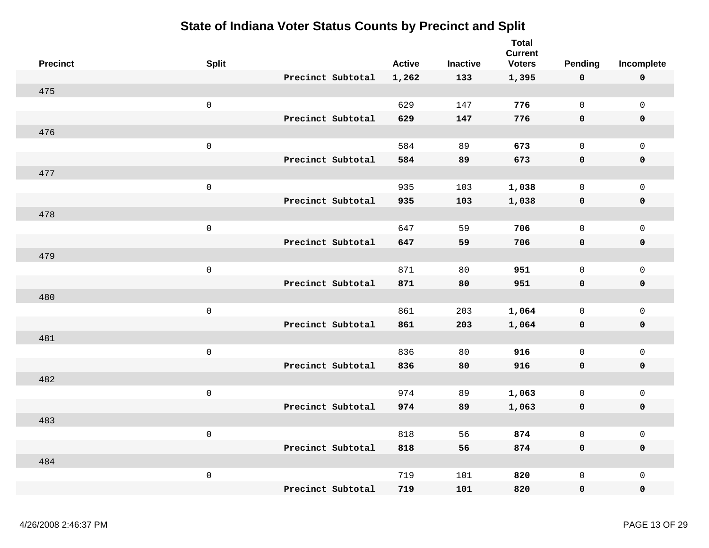| <b>Precinct</b> | <b>Split</b>        |                   | <b>Active</b> | <b>Inactive</b> | <b>Total</b><br><b>Current</b><br><b>Voters</b> | <b>Pending</b>      | Incomplete          |
|-----------------|---------------------|-------------------|---------------|-----------------|-------------------------------------------------|---------------------|---------------------|
|                 |                     | Precinct Subtotal | 1,262         | 133             | 1,395                                           | $\mathbf 0$         | $\pmb{0}$           |
| 475             |                     |                   |               |                 |                                                 |                     |                     |
|                 | $\mathsf 0$         |                   | 629           | 147             | 776                                             | $\mathsf{O}$        | $\mathsf{O}\xspace$ |
|                 |                     | Precinct Subtotal | 629           | 147             | 776                                             | $\mathbf 0$         | 0                   |
| 476             |                     |                   |               |                 |                                                 |                     |                     |
|                 | $\mathsf{O}\xspace$ |                   | 584           | 89              | 673                                             | $\mathbf 0$         | $\mathsf{O}\xspace$ |
|                 |                     | Precinct Subtotal | 584           | 89              | 673                                             | $\mathbf 0$         | $\mathbf 0$         |
| 477             |                     |                   |               |                 |                                                 |                     |                     |
|                 | $\mathsf{O}\xspace$ |                   | 935           | 103             | 1,038                                           | $\mathbf 0$         | $\mathsf{O}$        |
|                 |                     | Precinct Subtotal | 935           | 103             | 1,038                                           | 0                   | $\mathbf 0$         |
| 478             |                     |                   |               |                 |                                                 |                     |                     |
|                 | $\mathsf{O}\xspace$ |                   | 647           | 59              | 706                                             | $\mathsf{O}$        | $\mathsf{O}\xspace$ |
|                 |                     | Precinct Subtotal | 647           | 59              | 706                                             | 0                   | $\pmb{0}$           |
| 479             |                     |                   |               |                 |                                                 |                     |                     |
|                 | $\mathsf 0$         |                   | 871           | 80              | 951                                             | $\mathsf{O}\xspace$ | $\mathsf{O}\xspace$ |
|                 |                     | Precinct Subtotal | 871           | 80              | 951                                             | $\mathbf 0$         | $\pmb{0}$           |
| 480             |                     |                   |               |                 |                                                 |                     |                     |
|                 | $\mathsf{O}\xspace$ |                   | 861           | 203             | 1,064                                           | $\mathsf{O}\xspace$ | $\mathsf{O}\xspace$ |
|                 |                     | Precinct Subtotal | 861           | 203             | 1,064                                           | $\mathbf 0$         | $\mathbf 0$         |
| 481             |                     |                   |               |                 |                                                 |                     |                     |
|                 | $\mathsf{O}\xspace$ |                   | 836           | 80              | 916                                             | $\mathsf{O}\xspace$ | $\mathsf{O}$        |
|                 |                     | Precinct Subtotal | 836           | 80              | 916                                             | $\mathbf 0$         | $\mathbf 0$         |
| 482             |                     |                   |               |                 |                                                 |                     |                     |
|                 | $\mathsf{O}\xspace$ |                   | 974           | 89              | 1,063                                           | $\mathsf{O}$        | $\mathsf{O}\xspace$ |
|                 |                     | Precinct Subtotal | 974           | 89              | 1,063                                           | $\mathbf 0$         | 0                   |
| 483             |                     |                   |               |                 |                                                 |                     |                     |
|                 | $\mathsf 0$         |                   | 818           | 56              | 874                                             | $\mathsf 0$         | $\mathsf{O}\xspace$ |
|                 |                     | Precinct Subtotal | 818           | 56              | 874                                             | $\mathbf 0$         | $\mathbf 0$         |
| 484             |                     |                   |               |                 |                                                 |                     |                     |
|                 | $\mathsf{O}\xspace$ |                   | 719           | 101             | 820                                             | $\mathbf 0$         | $\mathsf{O}\xspace$ |
|                 |                     | Precinct Subtotal | 719           | 101             | 820                                             | $\mathbf 0$         | 0                   |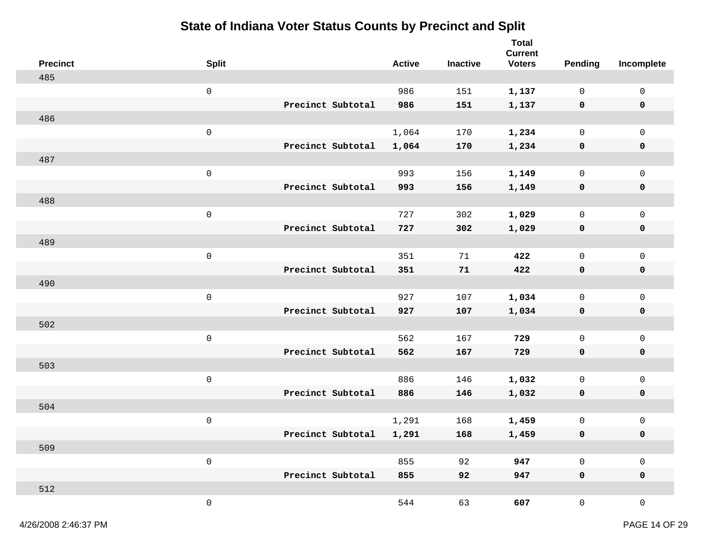| <b>Precinct</b> | <b>Split</b>        |                   |                   | <b>Active</b> | <b>Inactive</b> | <b>Total</b><br><b>Current</b><br><b>Voters</b> | <b>Pending</b>      | Incomplete          |
|-----------------|---------------------|-------------------|-------------------|---------------|-----------------|-------------------------------------------------|---------------------|---------------------|
| 485             |                     |                   |                   |               |                 |                                                 |                     |                     |
|                 | $\mathsf{O}\xspace$ |                   |                   | 986           | 151             | 1,137                                           | $\mathsf{O}$        | $\mathsf 0$         |
|                 |                     |                   | Precinct Subtotal | 986           | 151             | 1,137                                           | 0                   | $\pmb{0}$           |
| 486             |                     |                   |                   |               |                 |                                                 |                     |                     |
|                 | $\mathsf{O}\xspace$ |                   |                   | 1,064         | 170             | 1,234                                           | $\mathsf{O}$        | $\mathsf 0$         |
|                 |                     |                   | Precinct Subtotal | 1,064         | 170             | 1,234                                           | $\mathbf 0$         | $\mathbf 0$         |
| 487             |                     |                   |                   |               |                 |                                                 |                     |                     |
|                 | $\mathsf{O}\xspace$ |                   |                   | 993           | 156             | 1,149                                           | 0                   | $\mathsf 0$         |
|                 |                     |                   | Precinct Subtotal | 993           | 156             | 1,149                                           | 0                   | 0                   |
| 488             |                     |                   |                   |               |                 |                                                 |                     |                     |
|                 | $\mathsf{O}\xspace$ |                   |                   | 727           | 302             | 1,029                                           | $\mathsf{O}$        | $\mathsf 0$         |
|                 |                     |                   | Precinct Subtotal | 727           | 302             | 1,029                                           | 0                   | 0                   |
| 489             |                     |                   |                   |               |                 |                                                 |                     |                     |
|                 | $\mathsf{O}\xspace$ |                   |                   | 351           | 71              | 422                                             | $\mathsf{O}$        | $\mathsf 0$         |
|                 |                     |                   | Precinct Subtotal | 351           | 71              | 422                                             | 0                   | $\mathbf 0$         |
| 490             |                     |                   |                   |               |                 |                                                 |                     |                     |
|                 | $\mathsf{O}\xspace$ |                   |                   | 927           | 107             | 1,034                                           | 0                   | $\mathsf 0$         |
|                 |                     | Precinct Subtotal |                   | 927           | 107             | 1,034                                           | 0                   | 0                   |
| 502             |                     |                   |                   |               |                 |                                                 |                     |                     |
|                 | $\mathsf{O}\xspace$ |                   |                   | 562           | 167             | 729                                             | $\mathsf{O}$        | $\mathsf 0$         |
|                 |                     |                   | Precinct Subtotal | 562           | 167             | 729                                             | 0                   | 0                   |
| 503             |                     |                   |                   |               |                 |                                                 |                     |                     |
|                 | $\mathsf{O}\xspace$ |                   | Precinct Subtotal | 886           | 146             | 1,032                                           | 0                   | $\mathsf 0$         |
| 504             |                     |                   |                   | 886           | 146             | 1,032                                           | $\mathbf 0$         | $\mathbf 0$         |
|                 | $\mathsf{O}\xspace$ |                   |                   | 1,291         | 168             | 1,459                                           | 0                   | $\mathsf 0$         |
|                 |                     |                   | Precinct Subtotal | 1,291         | 168             | 1,459                                           | 0                   | 0                   |
| 509             |                     |                   |                   |               |                 |                                                 |                     |                     |
|                 | $\mathsf{O}\xspace$ |                   |                   | 855           | 92              | 947                                             | $\mathsf{O}\xspace$ | $\mathsf 0$         |
|                 |                     |                   | Precinct Subtotal | 855           | 92              | 947                                             | $\mathbf 0$         | $\mathbf 0$         |
| 512             |                     |                   |                   |               |                 |                                                 |                     |                     |
|                 | $\mathsf{O}\xspace$ |                   |                   | 544           | 63              | 607                                             | $\overline{0}$      | $\mathsf{O}\xspace$ |
|                 |                     |                   |                   |               |                 |                                                 |                     |                     |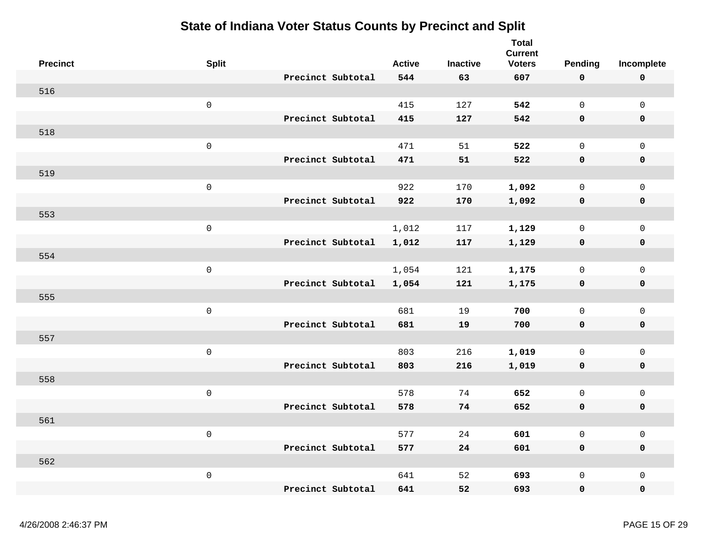| <b>Precinct</b> | <b>Split</b>        |                   | <b>Active</b> | <b>Inactive</b> | <b>Total</b><br><b>Current</b><br><b>Voters</b> | <b>Pending</b>      | Incomplete          |
|-----------------|---------------------|-------------------|---------------|-----------------|-------------------------------------------------|---------------------|---------------------|
|                 |                     | Precinct Subtotal | 544           | 63              | 607                                             | $\mathbf 0$         | $\pmb{0}$           |
| 516             |                     |                   |               |                 |                                                 |                     |                     |
|                 | $\mathsf 0$         |                   | 415           | 127             | 542                                             | $\mathsf{O}$        | $\mathsf{O}\xspace$ |
|                 |                     | Precinct Subtotal | 415           | 127             | 542                                             | 0                   | 0                   |
| 518             |                     |                   |               |                 |                                                 |                     |                     |
|                 | $\mathsf{O}\xspace$ |                   | 471           | 51              | 522                                             | $\mathbf 0$         | $\mathsf{O}\xspace$ |
|                 |                     | Precinct Subtotal | 471           | 51              | 522                                             | $\mathbf 0$         | $\mathbf 0$         |
| 519             |                     |                   |               |                 |                                                 |                     |                     |
|                 | $\mathsf 0$         |                   | 922           | 170             | 1,092                                           | $\mathsf{O}$        | $\mathsf{O}\xspace$ |
|                 |                     | Precinct Subtotal | 922           | 170             | 1,092                                           | $\mathbf 0$         | $\mathbf 0$         |
| 553             |                     |                   |               |                 |                                                 |                     |                     |
|                 | $\mathsf 0$         |                   | 1,012         | 117             | 1,129                                           | $\mathbf 0$         | $\mathsf 0$         |
|                 |                     | Precinct Subtotal | 1,012         | 117             | 1,129                                           | $\mathbf 0$         | 0                   |
| 554             |                     |                   |               |                 |                                                 |                     |                     |
|                 | $\mathsf 0$         |                   | 1,054         | 121             | 1,175                                           | $\mathsf{O}\xspace$ | $\mathsf{O}\xspace$ |
|                 |                     | Precinct Subtotal | 1,054         | 121             | 1,175                                           | $\mathbf 0$         | 0                   |
| 555             |                     |                   |               |                 |                                                 |                     |                     |
|                 | $\mathsf 0$         |                   | 681           | 19              | 700                                             | $\mathbf 0$         | $\mathsf{O}\xspace$ |
|                 |                     | Precinct Subtotal | 681           | 19              | 700                                             | $\mathbf 0$         | $\mathbf 0$         |
| 557             |                     |                   |               |                 |                                                 |                     |                     |
|                 | $\mathsf 0$         |                   | 803           | 216             | 1,019                                           | $\mathbf 0$         | $\mathsf{O}$        |
|                 |                     | Precinct Subtotal | 803           | 216             | 1,019                                           | 0                   | 0                   |
| 558             |                     |                   |               |                 |                                                 |                     |                     |
|                 | $\mathsf 0$         |                   | 578           | 74              | 652                                             | $\overline{0}$      | $\mathsf{O}\xspace$ |
|                 |                     | Precinct Subtotal | 578           | 74              | 652                                             | 0                   | 0                   |
| 561             |                     |                   |               |                 |                                                 |                     |                     |
|                 | $\mathsf 0$         |                   | 577           | 24              | 601                                             | $\mathsf 0$         | $\mathsf{O}\xspace$ |
|                 |                     | Precinct Subtotal | 577           | 24              | 601                                             | $\mathbf 0$         | 0                   |
| 562             |                     |                   |               |                 |                                                 |                     |                     |
|                 | $\mathsf 0$         |                   | 641           | 52              | 693                                             | $\mathsf{O}\xspace$ | $\mathsf 0$         |
|                 |                     | Precinct Subtotal | 641           | 52              | 693                                             | $\mathbf 0$         | 0                   |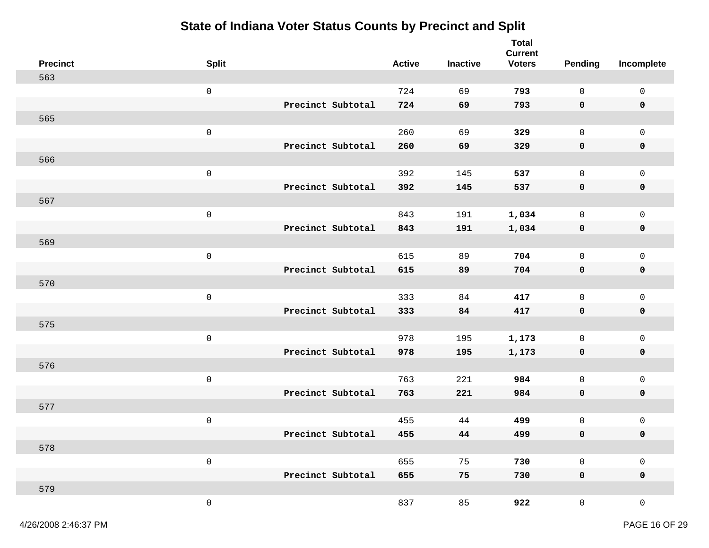| <b>Precinct</b> | <b>Split</b>        |                   | <b>Active</b> | Inactive | <b>Total</b><br><b>Current</b><br><b>Voters</b> | <b>Pending</b>      | Incomplete          |
|-----------------|---------------------|-------------------|---------------|----------|-------------------------------------------------|---------------------|---------------------|
| 563             |                     |                   |               |          |                                                 |                     |                     |
|                 | $\mathbf 0$         |                   | 724           | 69       | 793                                             | $\mathsf{O}$        | $\mathsf{O}$        |
|                 |                     | Precinct Subtotal | 724           | 69       | 793                                             | $\mathbf 0$         | 0                   |
| 565             |                     |                   |               |          |                                                 |                     |                     |
|                 | $\mathbf 0$         |                   | 260           | 69       | 329                                             | $\mathsf{O}$        | $\mathsf{O}$        |
|                 |                     | Precinct Subtotal | 260           | 69       | 329                                             | $\mathbf 0$         | $\mathbf 0$         |
| 566             |                     |                   |               |          |                                                 |                     |                     |
|                 | $\mathbf 0$         |                   | 392           | 145      | 537                                             | $\mathbf 0$         | $\mathsf{O}$        |
|                 |                     | Precinct Subtotal | 392           | 145      | 537                                             | $\mathbf 0$         | 0                   |
| 567             |                     |                   |               |          |                                                 |                     |                     |
|                 | $\mathsf{O}\xspace$ |                   | 843           | 191      | 1,034                                           | $\mathsf{O}$        | $\mathsf 0$         |
|                 |                     | Precinct Subtotal | 843           | 191      | 1,034                                           | 0                   | $\mathbf 0$         |
| 569             |                     |                   |               |          |                                                 |                     |                     |
|                 | $\mathsf 0$         |                   | 615           | 89       | 704                                             | $\mathsf{O}$        | $\mathsf 0$         |
|                 |                     | Precinct Subtotal | 615           | 89       | 704                                             | 0                   | 0                   |
| 570             |                     |                   |               |          |                                                 |                     |                     |
|                 | $\mathsf 0$         |                   | 333           | 84       | 417                                             | $\mathbf 0$         | $\mathsf{O}$        |
|                 |                     | Precinct Subtotal | 333           | 84       | 417                                             | $\mathbf 0$         | 0                   |
| 575             |                     |                   |               |          |                                                 |                     |                     |
|                 | $\mathbf 0$         |                   | 978           | 195      | 1,173                                           | $\mathsf{O}\xspace$ | $\mathsf 0$         |
|                 |                     | Precinct Subtotal | 978           | 195      | 1,173                                           | $\mathbf 0$         | 0                   |
| 576             |                     |                   |               |          |                                                 |                     |                     |
|                 | $\mathbf 0$         |                   | 763           | 221      | 984                                             | $\mathsf{O}$        | $\mathsf{O}\xspace$ |
|                 |                     | Precinct Subtotal | 763           | 221      | 984                                             | $\mathbf 0$         | $\mathbf 0$         |
| 577             |                     |                   |               |          |                                                 |                     |                     |
|                 | $\mathsf 0$         |                   | 455           | 44       | 499                                             | 0                   | 0                   |
|                 |                     | Precinct Subtotal | 455           | 44       | 499                                             | 0                   | 0                   |
| 578             |                     |                   |               |          |                                                 |                     |                     |
|                 | $\mathsf{O}\xspace$ |                   | 655           | 75       | 730                                             | $\mathsf{O}\xspace$ | $\mathsf 0$         |
|                 |                     | Precinct Subtotal | 655           | 75       | 730                                             | $\mathbf 0$         | $\mathbf 0$         |
| 579             |                     |                   |               |          |                                                 |                     |                     |
|                 | $\mathsf{O}\xspace$ |                   | 837           | 85       | 922                                             | $\mathsf{O}$        | $\mathsf{O}\xspace$ |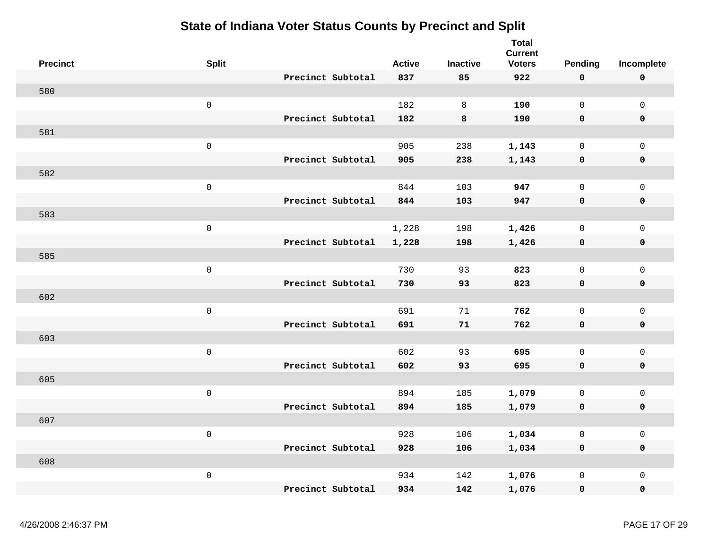| <b>Precinct</b> | <b>Split</b>        |                   | <b>Active</b> | <b>Inactive</b> | <b>Total</b><br><b>Current</b><br><b>Voters</b> | Pending             | Incomplete          |
|-----------------|---------------------|-------------------|---------------|-----------------|-------------------------------------------------|---------------------|---------------------|
|                 |                     | Precinct Subtotal | 837           | 85              | 922                                             | $\mathbf 0$         | $\mathbf 0$         |
| 580             |                     |                   |               |                 |                                                 |                     |                     |
|                 | $\mathsf{O}\xspace$ |                   | 182           | 8               | 190                                             | $\mathsf{O}$        | $\mathsf{O}\xspace$ |
|                 |                     | Precinct Subtotal | 182           | 8               | 190                                             | $\mathbf 0$         | 0                   |
| 581             |                     |                   |               |                 |                                                 |                     |                     |
|                 | $\mathsf{O}\xspace$ |                   | 905           | 238             | 1,143                                           | $\mathbf 0$         | $\mathsf{O}$        |
|                 |                     | Precinct Subtotal | 905           | 238             | 1,143                                           | $\mathbf 0$         | $\mathbf 0$         |
| 582             |                     |                   |               |                 |                                                 |                     |                     |
|                 | $\mathsf{O}\xspace$ |                   | 844           | 103             | 947                                             | $\mathbf 0$         | $\mathsf{O}\xspace$ |
|                 |                     | Precinct Subtotal | 844           | 103             | 947                                             | 0                   | $\mathbf 0$         |
| 583             |                     |                   |               |                 |                                                 |                     |                     |
|                 | $\mathsf{O}\xspace$ |                   | 1,228         | 198             | 1,426                                           | 0                   | $\mathsf{O}\xspace$ |
|                 |                     | Precinct Subtotal | 1,228         | 198             | 1,426                                           | 0                   | $\pmb{0}$           |
| 585             |                     |                   |               |                 |                                                 |                     |                     |
|                 | $\mathsf{O}\xspace$ |                   | 730           | 93              | 823                                             | $\mathsf{O}\xspace$ | $\mathsf{O}\xspace$ |
|                 |                     | Precinct Subtotal | 730           | 93              | 823                                             | $\mathbf 0$         | $\pmb{0}$           |
| 602             |                     |                   |               |                 |                                                 |                     |                     |
|                 | $\mathsf{O}\xspace$ |                   | 691           | 71              | 762                                             | $\mathsf{O}\xspace$ | $\mathsf{O}\xspace$ |
|                 |                     | Precinct Subtotal | 691           | 71              | 762                                             | $\mathbf 0$         | $\mathbf 0$         |
| 603             |                     |                   |               |                 |                                                 |                     |                     |
|                 | $\mathsf{O}\xspace$ |                   | 602           | 93              | 695                                             | $\mathbf 0$         | $\mathsf{O}$        |
|                 |                     | Precinct Subtotal | 602           | 93              | 695                                             | $\mathbf 0$         | $\mathbf 0$         |
| 605             |                     |                   |               |                 |                                                 |                     |                     |
|                 | $\mathsf{O}\xspace$ |                   | 894           | 185             | 1,079                                           | $\mathsf{O}$        | $\mathsf{O}\xspace$ |
|                 |                     | Precinct Subtotal | 894           | 185             | 1,079                                           | $\mathbf 0$         | 0                   |
| 607             |                     |                   |               |                 |                                                 |                     |                     |
|                 | $\mathsf{O}\xspace$ |                   | 928           | 106             | 1,034                                           | $\mathsf{O}\xspace$ | $\mathsf{O}\xspace$ |
|                 |                     | Precinct Subtotal | 928           | 106             | 1,034                                           | $\mathbf 0$         | $\mathbf 0$         |
| 608             |                     |                   |               |                 |                                                 |                     |                     |
|                 | $\mathsf{O}\xspace$ |                   | 934           | 142             | 1,076                                           | $\mathsf{O}\xspace$ | $\mathsf{O}\xspace$ |
|                 |                     | Precinct Subtotal | 934           | 142             | 1,076                                           | 0                   | 0                   |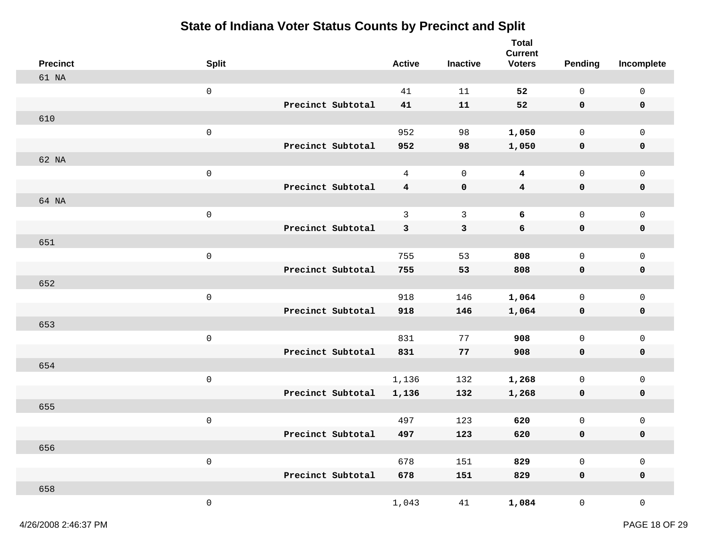| <b>Precinct</b> | <b>Split</b>        |                   | <b>Active</b>           | <b>Inactive</b> | <b>Total</b><br><b>Current</b><br><b>Voters</b> | <b>Pending</b>      | Incomplete          |
|-----------------|---------------------|-------------------|-------------------------|-----------------|-------------------------------------------------|---------------------|---------------------|
| 61 NA           |                     |                   |                         |                 |                                                 |                     |                     |
|                 | $\mathsf{O}\xspace$ |                   | 41                      | 11              | 52                                              | $\mathsf{O}$        | $\mathsf{O}\xspace$ |
|                 |                     | Precinct Subtotal | 41                      | 11              | 52                                              | $\mathbf 0$         | 0                   |
| 610             |                     |                   |                         |                 |                                                 |                     |                     |
|                 | $\mathsf 0$         |                   | 952                     | 98              | 1,050                                           | $\mathsf{O}$        | $\mathsf 0$         |
|                 |                     | Precinct Subtotal | 952                     | 98              | 1,050                                           | $\mathbf 0$         | $\pmb{0}$           |
| 62 NA           |                     |                   |                         |                 |                                                 |                     |                     |
|                 | $\mathsf 0$         |                   | $\overline{4}$          | $\mathbf 0$     | 4                                               | $\mathsf{O}$        | $\mathsf 0$         |
|                 |                     | Precinct Subtotal | $\overline{\mathbf{4}}$ | $\pmb{0}$       | $\overline{\mathbf{4}}$                         | $\mathbf 0$         | 0                   |
| 64 NA           |                     |                   |                         |                 |                                                 |                     |                     |
|                 | $\mathsf{O}\xspace$ |                   | 3                       | $\mathbf{3}$    | 6                                               | $\mathsf{O}$        | $\mathsf 0$         |
|                 |                     | Precinct Subtotal | 3                       | 3               | 6                                               | $\mathbf 0$         | $\mathbf 0$         |
| 651             |                     |                   |                         |                 |                                                 |                     |                     |
|                 | $\mathsf 0$         |                   | 755                     | 53              | 808                                             | $\mathsf{O}$        | $\mathsf 0$         |
|                 |                     | Precinct Subtotal | 755                     | 53              | 808                                             | 0                   | $\pmb{0}$           |
| 652             |                     |                   |                         |                 |                                                 |                     |                     |
|                 | $\mathsf 0$         |                   | 918                     | 146             | 1,064                                           | 0                   | $\mathsf 0$         |
|                 |                     | Precinct Subtotal | 918                     | 146             | 1,064                                           | 0                   | 0                   |
| 653             |                     |                   |                         |                 |                                                 |                     |                     |
|                 | $\mathsf{O}\xspace$ |                   | 831                     | 77              | 908                                             | $\mathsf{O}\xspace$ | $\mathbf 0$         |
|                 |                     | Precinct Subtotal | 831                     | 77              | 908                                             | 0                   | 0                   |
| 654             |                     |                   |                         |                 |                                                 |                     |                     |
|                 | $\mathsf 0$         |                   | 1,136                   | 132             | 1,268                                           | $\mathsf{O}$        | $\mathsf{O}\xspace$ |
| 655             |                     | Precinct Subtotal | 1,136                   | 132             | 1,268                                           | $\mathbf 0$         | $\pmb{0}$           |
|                 |                     |                   |                         |                 |                                                 |                     |                     |
|                 | $\mathsf 0$         | Precinct Subtotal | 497                     | 123             | 620                                             | 0                   | 0                   |
| 656             |                     |                   | 497                     | 123             | 620                                             | 0                   | 0                   |
|                 | $\mathsf{O}\xspace$ |                   | 678                     | 151             | 829                                             | $\mathsf{O}\xspace$ | $\mathsf{O}\xspace$ |
|                 |                     | Precinct Subtotal | 678                     | 151             | 829                                             | $\mathbf 0$         | $\mathbf 0$         |
| 658             |                     |                   |                         |                 |                                                 |                     |                     |
|                 | $\mathsf 0$         |                   | 1,043                   | 41              | 1,084                                           | $\mathsf{O}$        | $\mathsf{O}\xspace$ |
|                 |                     |                   |                         |                 |                                                 |                     |                     |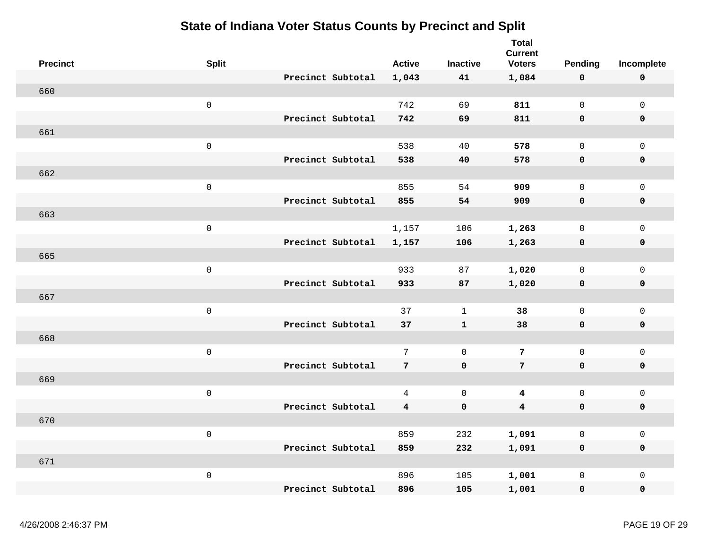| <b>Precinct</b> | <b>Split</b>        |                   | <b>Active</b>           | <b>Inactive</b> | <b>Total</b><br><b>Current</b><br><b>Voters</b> | Pending             | Incomplete          |
|-----------------|---------------------|-------------------|-------------------------|-----------------|-------------------------------------------------|---------------------|---------------------|
|                 |                     | Precinct Subtotal |                         |                 |                                                 |                     |                     |
| 660             |                     |                   | 1,043                   | 41              | 1,084                                           | 0                   | $\mathbf 0$         |
|                 |                     |                   | 742                     | 69              | 811                                             |                     |                     |
|                 | $\mathsf{O}\xspace$ | Precinct Subtotal |                         |                 |                                                 | $\mathsf{O}\xspace$ | $\mathsf{O}\xspace$ |
|                 |                     |                   | 742                     | 69              | 811                                             | $\mathbf 0$         | $\mathbf 0$         |
| 661             |                     |                   |                         |                 |                                                 |                     |                     |
|                 | $\mathsf{O}\xspace$ |                   | 538                     | 40              | 578                                             | $\mathsf{O}\xspace$ | $\mathsf 0$         |
|                 |                     | Precinct Subtotal | 538                     | 40              | 578                                             | $\mathbf 0$         | $\pmb{0}$           |
| 662             |                     |                   |                         |                 |                                                 |                     |                     |
|                 | $\mathsf{O}\xspace$ |                   | 855                     | 54              | 909                                             | $\mathsf{O}\xspace$ | $\mathsf 0$         |
|                 |                     | Precinct Subtotal | 855                     | 54              | 909                                             | $\mathbf 0$         | $\mathbf 0$         |
| 663             |                     |                   |                         |                 |                                                 |                     |                     |
|                 | $\mathsf{O}\xspace$ |                   | 1,157                   | 106             | 1,263                                           | $\mathsf 0$         | $\mathsf{O}$        |
|                 |                     | Precinct Subtotal | 1,157                   | 106             | 1,263                                           | 0                   | $\mathbf 0$         |
| 665             |                     |                   |                         |                 |                                                 |                     |                     |
|                 | $\mathsf{O}\xspace$ |                   | 933                     | 87              | 1,020                                           | $\mathsf{O}\xspace$ | $\mathsf{O}\xspace$ |
|                 |                     | Precinct Subtotal | 933                     | 87              | 1,020                                           | $\mathbf 0$         | $\pmb{0}$           |
| 667             |                     |                   |                         |                 |                                                 |                     |                     |
|                 | $\mathsf{O}\xspace$ |                   | 37                      | $\mathbf{1}$    | 38                                              | $\mathsf{O}\xspace$ | $\mathsf 0$         |
|                 |                     | Precinct Subtotal | 37                      | $\mathbf{1}$    | 38                                              | $\mathbf 0$         | $\mathbf 0$         |
| 668             |                     |                   |                         |                 |                                                 |                     |                     |
|                 | $\mathsf{O}\xspace$ |                   | $7\overline{ }$         | $\mathsf{O}$    | 7                                               | $\mathbf 0$         | $\mathsf{O}\xspace$ |
|                 |                     | Precinct Subtotal | $7\phantom{.}$          | $\mathbf 0$     | $7\phantom{.}$                                  | $\mathbf 0$         | $\mathbf 0$         |
| 669             |                     |                   |                         |                 |                                                 |                     |                     |
|                 | $\mathsf{O}\xspace$ |                   | $\overline{4}$          | $\mathsf 0$     | $\overline{\mathbf{4}}$                         | $\mathsf 0$         | $\mathsf 0$         |
|                 |                     | Precinct Subtotal | $\overline{\mathbf{4}}$ | $\pmb{0}$       | $\overline{\mathbf{4}}$                         | 0                   | $\mathbf 0$         |
| 670             |                     |                   |                         |                 |                                                 |                     |                     |
|                 | $\mathsf{O}\xspace$ |                   | 859                     | 232             | 1,091                                           | $\mathsf 0$         | $\mathsf{O}\xspace$ |
|                 |                     | Precinct Subtotal | 859                     | 232             | 1,091                                           | $\mathbf 0$         | $\mathbf 0$         |
| 671             |                     |                   |                         |                 |                                                 |                     |                     |
|                 | $\mathsf{O}\xspace$ |                   | 896                     | 105             | 1,001                                           | $\mathsf 0$         | $\mathsf 0$         |
|                 |                     | Precinct Subtotal | 896                     | 105             | 1,001                                           | 0                   | $\pmb{0}$           |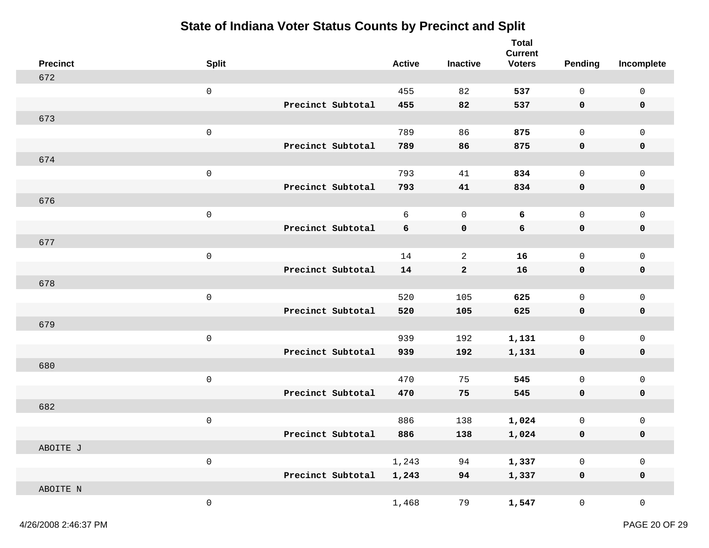| <b>Precinct</b> | <b>Split</b>        |                   | <b>Active</b> | <b>Inactive</b> | <b>Total</b><br><b>Current</b><br><b>Voters</b> | <b>Pending</b>      | Incomplete          |
|-----------------|---------------------|-------------------|---------------|-----------------|-------------------------------------------------|---------------------|---------------------|
| 672             |                     |                   |               |                 |                                                 |                     |                     |
|                 | $\mathbf 0$         |                   | 455           | 82              | 537                                             | $\mathsf{O}$        | $\mathsf{O}\xspace$ |
|                 |                     | Precinct Subtotal | 455           | 82              | 537                                             | $\mathbf 0$         | 0                   |
| 673             |                     |                   |               |                 |                                                 |                     |                     |
|                 | $\mathsf{O}\xspace$ |                   | 789           | 86              | 875                                             | $\mathsf{O}$        | $\mathsf 0$         |
|                 |                     | Precinct Subtotal | 789           | 86              | 875                                             | $\mathbf 0$         | 0                   |
| 674             |                     |                   |               |                 |                                                 |                     |                     |
|                 | $\mathsf 0$         |                   | 793           | 41              | 834                                             | $\mathbf 0$         | $\mathsf 0$         |
|                 |                     | Precinct Subtotal | 793           | 41              | 834                                             | $\mathbf 0$         | 0                   |
| 676             |                     |                   |               |                 |                                                 |                     |                     |
|                 | $\mathsf{O}\xspace$ |                   | 6             | $\mathsf 0$     | 6                                               | $\mathsf{O}\xspace$ | $\mathbf 0$         |
|                 |                     | Precinct Subtotal | 6             | 0               | 6                                               | $\mathbf 0$         | $\mathbf 0$         |
| 677             |                     |                   |               |                 |                                                 |                     |                     |
|                 | $\mathbf 0$         |                   | 14            | 2               | 16                                              | $\mathsf{O}$        | $\mathsf 0$         |
|                 |                     | Precinct Subtotal | 14            | $\mathbf{2}$    | 16                                              | 0                   | 0                   |
| 678             |                     |                   |               |                 |                                                 |                     |                     |
|                 | $\mathbf 0$         |                   | 520           | 105             | 625                                             | $\mathbf 0$         | $\mathsf 0$         |
|                 |                     | Precinct Subtotal | 520           | 105             | 625                                             | $\mathbf 0$         | 0                   |
| 679             |                     |                   |               |                 |                                                 |                     |                     |
|                 | $\mathbf 0$         |                   | 939           | 192             | 1,131                                           | $\mathsf 0$         | $\mathsf 0$         |
|                 |                     | Precinct Subtotal | 939           | 192             | 1,131                                           | 0                   | 0                   |
| 680             |                     |                   |               |                 |                                                 |                     |                     |
|                 | $\mathbf 0$         |                   | 470           | 75              | 545                                             | $\mathsf{O}$        | $\mathsf 0$         |
|                 |                     | Precinct Subtotal | 470           | 75              | 545                                             | $\mathbf 0$         | 0                   |
| 682             |                     |                   |               |                 |                                                 |                     |                     |
|                 | $\mathbf 0$         |                   | 886           | 138             | 1,024                                           | $\mathsf{O}\xspace$ | 0                   |
|                 |                     | Precinct Subtotal | 886           | 138             | 1,024                                           | 0                   | 0                   |
| ABOITE J        | $\mathsf{O}\xspace$ |                   | 1,243         | 94              | 1,337                                           | $\mathsf{O}\xspace$ | $\mathsf{O}\xspace$ |
|                 |                     | Precinct Subtotal | 1,243         | 94              | 1,337                                           | $\mathbf 0$         | $\mathbf 0$         |
| ABOITE N        |                     |                   |               |                 |                                                 |                     |                     |
|                 | $\mathsf{O}$        |                   | 1,468         | 79              | 1,547                                           | $\mathsf{O}$        | $\mathsf{O}\xspace$ |
|                 |                     |                   |               |                 |                                                 |                     |                     |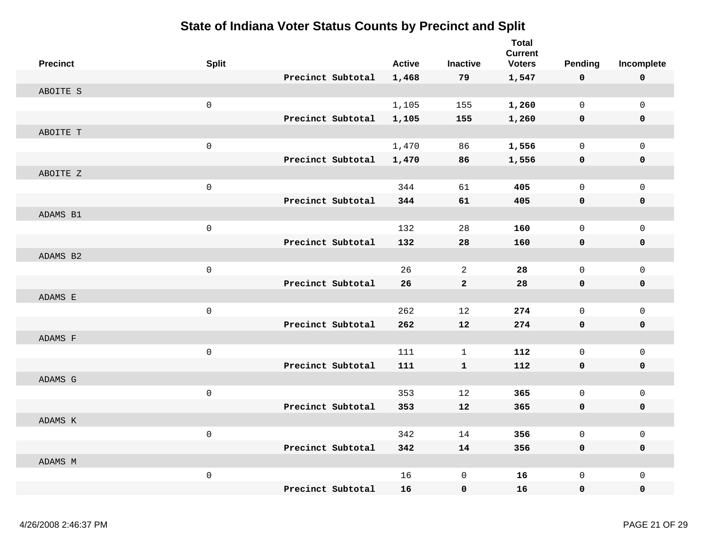| <b>Precinct</b> | <b>Split</b> |                   | <b>Active</b> | <b>Inactive</b> | <b>Total</b><br><b>Current</b><br><b>Voters</b> | <b>Pending</b>      | Incomplete          |
|-----------------|--------------|-------------------|---------------|-----------------|-------------------------------------------------|---------------------|---------------------|
|                 |              | Precinct Subtotal | 1,468         | 79              | 1,547                                           | 0                   | $\mathbf 0$         |
| ABOITE S        |              |                   |               |                 |                                                 |                     |                     |
|                 | $\mathsf 0$  |                   | 1,105         | 155             | 1,260                                           | $\mathsf{O}$        | $\mathsf{O}\xspace$ |
|                 |              | Precinct Subtotal | 1,105         | 155             | 1,260                                           | 0                   | $\mathbf 0$         |
| ABOITE T        |              |                   |               |                 |                                                 |                     |                     |
|                 | $\mathbf 0$  |                   | 1,470         | 86              | 1,556                                           | $\Omega$            | $\mathsf{O}\xspace$ |
|                 |              | Precinct Subtotal | 1,470         | 86              | 1,556                                           | $\mathbf 0$         | $\mathbf 0$         |
| ABOITE Z        |              |                   |               |                 |                                                 |                     |                     |
|                 | $\mathsf 0$  |                   | 344           | 61              | 405                                             | $\Omega$            | $\mathsf{O}\xspace$ |
|                 |              | Precinct Subtotal | 344           | 61              | 405                                             | 0                   | $\mathbf 0$         |
| ADAMS B1        |              |                   |               |                 |                                                 |                     |                     |
|                 | $\mathbf 0$  |                   | 132           | 28              | 160                                             | $\mathbf 0$         | $\mathbf 0$         |
|                 |              | Precinct Subtotal | 132           | 28              | 160                                             | 0                   | $\mathbf 0$         |
| ADAMS B2        |              |                   |               |                 |                                                 |                     |                     |
|                 | $\mathsf 0$  |                   | 26            | $\overline{a}$  | 28                                              | $\mathsf{O}\xspace$ | $\mathsf 0$         |
|                 |              | Precinct Subtotal | 26            | $\mathbf 2$     | 28                                              | 0                   | $\pmb{0}$           |
| ADAMS E         |              |                   |               |                 |                                                 |                     |                     |
|                 | $\mathbf 0$  |                   | 262           | 12              | 274                                             | $\mathsf{O}\xspace$ | $\mathsf{O}\xspace$ |
|                 |              | Precinct Subtotal | 262           | 12              | 274                                             | 0                   | $\mathbf 0$         |
| ADAMS F         |              |                   |               |                 |                                                 |                     |                     |
|                 | $\mathbf 0$  |                   | 111           | $\mathbf{1}$    | 112                                             | $\mathbf 0$         | $\mathbf 0$         |
|                 |              | Precinct Subtotal | 111           | $\mathbf{1}$    | 112                                             | 0                   | $\mathbf 0$         |
| ADAMS G         |              |                   |               |                 |                                                 |                     |                     |
|                 | $\mathsf 0$  |                   | 353           | 12              | 365                                             | $\mathbf 0$         | $\mathsf 0$         |
|                 |              | Precinct Subtotal | 353           | 12              | 365                                             | $\mathbf 0$         | $\mathbf 0$         |
| ADAMS K         |              |                   |               |                 |                                                 |                     |                     |
|                 | $\mbox{O}$   |                   | 342           | 14              | 356                                             | $\mathsf{O}\xspace$ | $\mathsf 0$         |
|                 |              | Precinct Subtotal | 342           | 14              | 356                                             | $\mathbf 0$         | $\mathbf 0$         |
| ADAMS M         |              |                   |               |                 |                                                 |                     |                     |
|                 | $\mathbf 0$  |                   | 16            | $\mathsf 0$     | 16                                              | $\mathsf{O}\xspace$ | $\mathsf 0$         |
|                 |              | Precinct Subtotal | 16            | $\mathbf 0$     | 16                                              | $\mathbf 0$         | $\mathbf 0$         |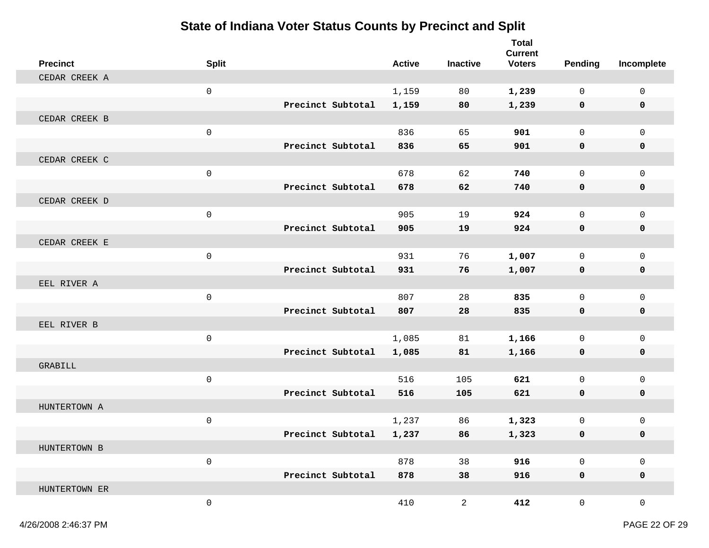| <b>Precinct</b> | <b>Split</b>        |                   | <b>Active</b> | <b>Inactive</b> | <b>Total</b><br><b>Current</b><br><b>Voters</b> | <b>Pending</b>      | Incomplete   |
|-----------------|---------------------|-------------------|---------------|-----------------|-------------------------------------------------|---------------------|--------------|
| CEDAR CREEK A   |                     |                   |               |                 |                                                 |                     |              |
|                 | $\mathsf{O}\xspace$ |                   | 1,159         | 80              | 1,239                                           | $\mathsf{O}$        | $\mathsf 0$  |
|                 |                     | Precinct Subtotal | 1,159         | 80              | 1,239                                           | 0                   | 0            |
| CEDAR CREEK B   |                     |                   |               |                 |                                                 |                     |              |
|                 | $\mathsf{O}\xspace$ |                   | 836           | 65              | 901                                             | $\overline{0}$      | $\mathbf 0$  |
|                 |                     | Precinct Subtotal | 836           | 65              | 901                                             | 0                   | 0            |
| CEDAR CREEK C   |                     |                   |               |                 |                                                 |                     |              |
|                 | $\mathbf 0$         |                   | 678           | 62              | 740                                             | $\mathbf 0$         | $\mathbf 0$  |
|                 |                     | Precinct Subtotal | 678           | 62              | 740                                             | 0                   | 0            |
| CEDAR CREEK D   |                     |                   |               |                 |                                                 |                     |              |
|                 | $\mathsf{O}\xspace$ |                   | 905           | 19              | 924                                             | $\mathsf{O}$        | $\mathsf 0$  |
|                 |                     | Precinct Subtotal | 905           | 19              | 924                                             | 0                   | 0            |
| CEDAR CREEK E   |                     |                   |               |                 |                                                 |                     |              |
|                 | $\mathbf 0$         |                   | 931           | 76              | 1,007                                           | $\mathbf 0$         | $\mathbf 0$  |
|                 |                     | Precinct Subtotal | 931           | 76              | 1,007                                           | 0                   | 0            |
| EEL RIVER A     |                     |                   |               |                 |                                                 |                     |              |
|                 | 0                   |                   | 807           | 28              | 835                                             | 0                   | $\mathbf 0$  |
|                 |                     | Precinct Subtotal | 807           | 28              | 835                                             | 0                   | 0            |
| EEL RIVER B     |                     |                   |               |                 |                                                 |                     |              |
|                 | $\mathsf{O}\xspace$ |                   | 1,085         | 81              | 1,166                                           | 0                   | $\mathsf 0$  |
|                 |                     | Precinct Subtotal | 1,085         | 81              | 1,166                                           | 0                   | 0            |
| GRABILL         |                     |                   |               |                 |                                                 |                     |              |
|                 | $\mathsf 0$         |                   | 516           | 105             | 621                                             | $\mathbf 0$         | $\mathbf 0$  |
|                 |                     | Precinct Subtotal | 516           | 105             | 621                                             | 0                   | 0            |
| HUNTERTOWN A    |                     |                   |               |                 |                                                 |                     |              |
|                 | $\mathbf 0$         |                   | 1,237         | 86              | 1,323                                           | 0                   | $\mathbf 0$  |
|                 |                     | Precinct Subtotal | 1,237         | 86              | 1,323                                           | 0                   | 0            |
| HUNTERTOWN B    |                     |                   |               |                 |                                                 |                     |              |
|                 | $\mathsf{O}\xspace$ |                   | 878           | 38              | 916                                             | $\mathsf{O}\xspace$ | $\mathsf 0$  |
|                 |                     | Precinct Subtotal | 878           | 38              | 916                                             | $\mathbf 0$         | $\mathbf 0$  |
| HUNTERTOWN ER   |                     |                   |               |                 |                                                 |                     |              |
|                 | $\mathsf{O}\xspace$ |                   | 410           | $\overline{a}$  | 412                                             | $\overline{0}$      | $\mathsf{O}$ |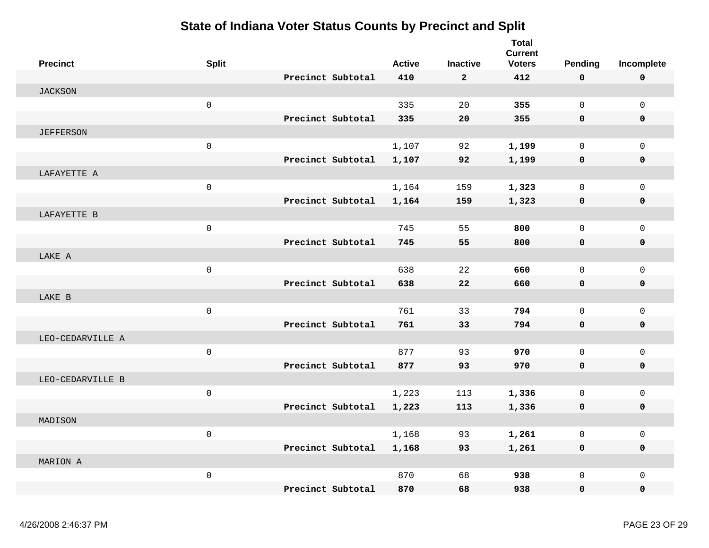| <b>Precinct</b>  | <b>Split</b>        |                   | <b>Active</b> | <b>Inactive</b> | <b>Total</b><br><b>Current</b><br><b>Voters</b> | Pending             | Incomplete          |
|------------------|---------------------|-------------------|---------------|-----------------|-------------------------------------------------|---------------------|---------------------|
|                  |                     | Precinct Subtotal | 410           | $\mathbf{2}$    | 412                                             | 0                   | $\pmb{0}$           |
| <b>JACKSON</b>   |                     |                   |               |                 |                                                 |                     |                     |
|                  | $\mathsf{O}\xspace$ |                   | 335           | 20              | 355                                             | $\mathsf{O}$        | $\mathsf{O}\xspace$ |
|                  |                     | Precinct Subtotal | 335           | 20              | 355                                             | 0                   | 0                   |
| <b>JEFFERSON</b> |                     |                   |               |                 |                                                 |                     |                     |
|                  | $\mathbf 0$         |                   | 1,107         | 92              | 1,199                                           | 0                   | $\mathbf 0$         |
|                  |                     | Precinct Subtotal | 1,107         | 92              | 1,199                                           | $\mathbf 0$         | 0                   |
| LAFAYETTE A      |                     |                   |               |                 |                                                 |                     |                     |
|                  | $\mathsf{O}\xspace$ |                   | 1,164         | 159             | 1,323                                           | 0                   | $\mathbf 0$         |
|                  |                     | Precinct Subtotal | 1,164         | 159             | 1,323                                           | 0                   | 0                   |
| LAFAYETTE B      |                     |                   |               |                 |                                                 |                     |                     |
|                  | $\mathsf{O}\xspace$ |                   | 745           | 55              | 800                                             | 0                   | $\mathsf{O}\xspace$ |
|                  |                     | Precinct Subtotal | 745           | 55              | 800                                             | 0                   | 0                   |
| LAKE A           |                     |                   |               |                 |                                                 |                     |                     |
|                  | $\mathsf{O}\xspace$ |                   | 638           | 22              | 660                                             | $\mathsf{O}\xspace$ | $\mathsf{O}\xspace$ |
|                  |                     | Precinct Subtotal | 638           | 22              | 660                                             | 0                   | 0                   |
| LAKE B           |                     |                   |               |                 |                                                 |                     |                     |
|                  | $\mathsf{O}\xspace$ |                   | 761           | 33              | 794                                             | $\mathbf{0}$        | $\mathbf 0$         |
|                  |                     | Precinct Subtotal | 761           | 33              | 794                                             | 0                   | $\mathbf 0$         |
| LEO-CEDARVILLE A |                     |                   |               |                 |                                                 |                     |                     |
|                  | $\mathbf 0$         |                   | 877           | 93              | 970                                             | $\mathbf{0}$        | $\overline{0}$      |
|                  |                     | Precinct Subtotal | 877           | 93              | 970                                             | 0                   | 0                   |
| LEO-CEDARVILLE B |                     |                   |               |                 |                                                 |                     |                     |
|                  | $\mathsf{O}\xspace$ |                   | 1,223         | 113             | 1,336                                           | 0                   | $\mathsf{O}$        |
|                  |                     | Precinct Subtotal | 1,223         | 113             | 1,336                                           | 0                   | 0                   |
| MADISON          |                     |                   |               |                 |                                                 |                     |                     |
|                  | $\mathsf 0$         |                   | 1,168         | 93              | 1,261                                           | $\mathbf{0}$        | $\mathsf{O}$        |
|                  |                     | Precinct Subtotal | 1,168         | 93              | 1,261                                           | 0                   | $\mathbf 0$         |
| MARION A         |                     |                   |               |                 |                                                 |                     |                     |
|                  | $\mathsf 0$         |                   | 870           | 68              | 938                                             | $\mathbf{0}$        | $\Omega$            |
|                  |                     | Precinct Subtotal | 870           | 68              | 938                                             | 0                   | $\mathbf 0$         |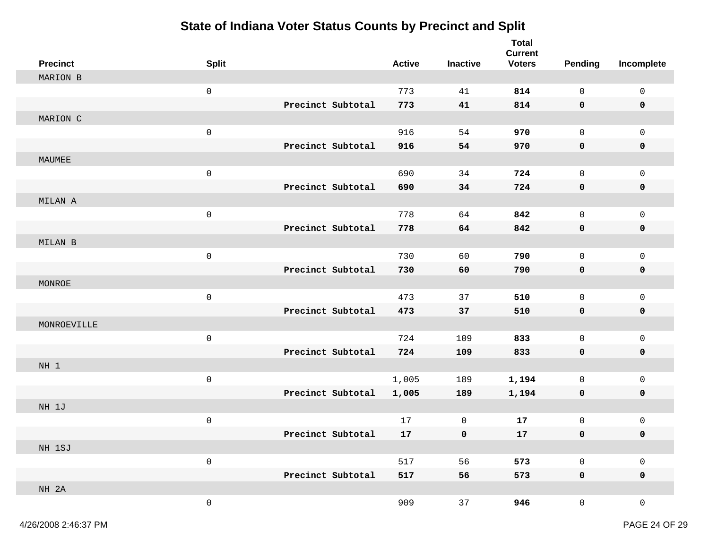| <b>Precinct</b> | <b>Split</b>        |                   | <b>Active</b> | <b>Inactive</b> | <b>Total</b><br><b>Current</b><br><b>Voters</b> | <b>Pending</b>      | Incomplete          |
|-----------------|---------------------|-------------------|---------------|-----------------|-------------------------------------------------|---------------------|---------------------|
| MARION B        |                     |                   |               |                 |                                                 |                     |                     |
|                 | $\mathsf{O}\xspace$ |                   | 773           | 41              | 814                                             | $\mathsf{O}\xspace$ | $\mathsf{O}$        |
|                 |                     | Precinct Subtotal | 773           | 41              | 814                                             | 0                   | 0                   |
| MARION C        |                     |                   |               |                 |                                                 |                     |                     |
|                 | $\mathsf{O}\xspace$ |                   | 916           | 54              | 970                                             | $\mathsf{O}$        | $\mathsf 0$         |
|                 |                     | Precinct Subtotal | 916           | 54              | 970                                             | 0                   | 0                   |
| MAUMEE          |                     |                   |               |                 |                                                 |                     |                     |
|                 | $\mathsf{O}\xspace$ |                   | 690           | 34              | 724                                             | $\mathsf{O}$        | $\mathsf 0$         |
|                 |                     | Precinct Subtotal | 690           | 34              | 724                                             | $\mathbf 0$         | 0                   |
| MILAN A         |                     |                   |               |                 |                                                 |                     |                     |
|                 | $\mathsf{O}\xspace$ |                   | 778           | 64              | 842                                             | $\mathsf{O}$        | $\mathsf 0$         |
|                 |                     | Precinct Subtotal | 778           | 64              | 842                                             | 0                   | 0                   |
| MILAN B         |                     |                   |               |                 |                                                 |                     |                     |
|                 | $\mathsf{O}\xspace$ |                   | 730           | 60              | 790                                             | $\mathsf{O}$        | $\mathsf 0$         |
|                 |                     | Precinct Subtotal | 730           | 60              | 790                                             | 0                   | 0                   |
| MONROE          |                     |                   |               |                 |                                                 |                     |                     |
|                 | $\mathsf{O}\xspace$ |                   | 473           | 37              | 510                                             | $\mathsf{O}$        | $\mathbf 0$         |
|                 |                     | Precinct Subtotal | 473           | 37              | 510                                             | $\mathbf 0$         | 0                   |
| MONROEVILLE     |                     |                   |               |                 |                                                 |                     |                     |
|                 | $\mathsf{O}\xspace$ |                   | 724           | 109             | 833                                             | $\mathsf 0$         | $\mathsf 0$         |
|                 |                     | Precinct Subtotal | 724           | 109             | 833                                             | 0                   | 0                   |
| NH 1            |                     |                   |               |                 |                                                 |                     |                     |
|                 | $\mathsf{O}\xspace$ |                   | 1,005         | 189             | 1,194                                           | $\mathsf{O}$        | $\mathsf 0$         |
|                 |                     | Precinct Subtotal | 1,005         | 189             | 1,194                                           | 0                   | 0                   |
| NH 1J           |                     |                   |               |                 |                                                 |                     |                     |
|                 | $\mathsf 0$         |                   | 17            | 0               | 17                                              | $\mathsf{O}$        | $\mathbf 0$         |
|                 |                     | Precinct Subtotal | 17            | 0               | 17                                              | 0                   | 0                   |
| NH 1SJ          |                     |                   |               |                 |                                                 |                     |                     |
|                 | $\mathsf{O}\xspace$ |                   | 517           | 56              | 573                                             | $\mathsf{O}\xspace$ | $\mathsf{O}\xspace$ |
|                 |                     | Precinct Subtotal | 517           | 56              | 573                                             | $\mathbf 0$         | $\mathbf 0$         |
| NH 2A           |                     |                   |               |                 |                                                 |                     |                     |
|                 | $\mathsf{O}\xspace$ |                   | 909           | 37              | 946                                             | $\mathsf{O}$        | $\mathsf{O}\xspace$ |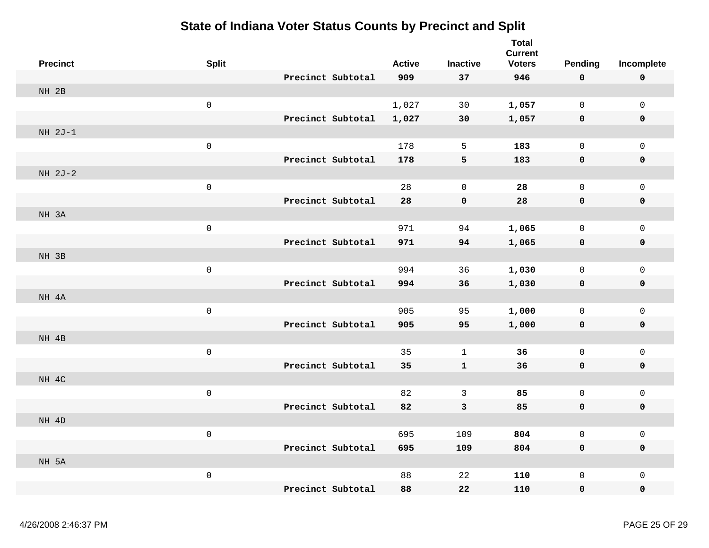| <b>Precinct</b> | <b>Split</b>        |                   | <b>Active</b> | <b>Inactive</b> | <b>Total</b><br><b>Current</b><br><b>Voters</b> | Pending                  | Incomplete                 |
|-----------------|---------------------|-------------------|---------------|-----------------|-------------------------------------------------|--------------------------|----------------------------|
|                 |                     | Precinct Subtotal | 909           | 37              | 946                                             | 0                        | $\mathbf 0$                |
| NH 2B           |                     |                   |               |                 |                                                 |                          |                            |
|                 | $\mathsf{O}\xspace$ |                   | 1,027         | 30              | 1,057                                           | $\mathsf{O}\xspace$      | $\mathsf 0$                |
|                 |                     | Precinct Subtotal | 1,027         | 30              | 1,057                                           | 0                        | $\mathbf 0$                |
| $NH 2J-1$       |                     |                   |               |                 |                                                 |                          |                            |
|                 | $\mathsf{O}\xspace$ |                   | 178           | 5               | 183                                             | $\mathsf{O}\xspace$      | $\mathsf{O}\xspace$        |
|                 |                     | Precinct Subtotal | 178           | 5               | 183                                             | 0                        | $\pmb{0}$                  |
| $NH 2J-2$       |                     |                   |               |                 |                                                 |                          |                            |
|                 | $\mbox{O}$          |                   | 28            | $\mathbf 0$     | 28                                              | $\mathsf{O}\xspace$      | $\mathsf{O}\xspace$        |
|                 |                     | Precinct Subtotal | 28            | $\mathbf 0$     | 28                                              | 0                        | $\mathbf 0$                |
| NH 3A           |                     |                   |               |                 |                                                 |                          |                            |
|                 | $\mathsf{O}\xspace$ |                   | 971           | 94              | 1,065                                           | $\mathbf{0}$             | $\mathsf{O}\xspace$        |
|                 |                     | Precinct Subtotal | 971           | 94              | 1,065                                           | 0                        | $\mathbf 0$                |
| NH 3B           |                     |                   |               |                 |                                                 |                          |                            |
|                 | $\mathsf{O}\xspace$ |                   | 994           | 36              | 1,030                                           | $\mathsf{O}\xspace$      | $\mathsf 0$                |
|                 |                     | Precinct Subtotal | 994           | 36              | 1,030                                           | 0                        | $\mathbf 0$                |
| NH 4A           |                     |                   |               |                 |                                                 |                          |                            |
|                 | $\mathsf{O}\xspace$ |                   | 905           | 95              | 1,000                                           | $\mathsf{O}\xspace$      | $\mathsf 0$                |
|                 |                     | Precinct Subtotal | 905           | 95              | 1,000                                           | 0                        | $\pmb{0}$                  |
| NH 4B           |                     |                   |               |                 |                                                 |                          |                            |
|                 | $\mathsf 0$         |                   | 35            | $\mathbf{1}$    | 36                                              | $\mathbf 0$              | $\mathsf 0$                |
|                 |                     | Precinct Subtotal | 35            | ${\bf 1}$       | 36                                              | 0                        | $\mathbf 0$                |
| NH 4C           |                     |                   |               |                 |                                                 |                          |                            |
|                 | $\mathsf{O}\xspace$ |                   | 82            | $\mathfrak{Z}$  | 85                                              | $\mathsf 0$              | $\mathsf 0$                |
|                 |                     | Precinct Subtotal | 82            | 3               | 85                                              | 0                        | $\mathbf 0$                |
| NH 4D           |                     |                   |               |                 | 804                                             |                          |                            |
|                 | $\mathsf{O}\xspace$ | Precinct Subtotal | 695           | 109             | 804                                             | $\mathsf{O}\xspace$<br>0 | $\mathsf 0$<br>$\mathbf 0$ |
| NH 5A           |                     |                   | 695           | 109             |                                                 |                          |                            |
|                 | $\mathsf{O}\xspace$ |                   | 88            | 22              | 110                                             | $\mathsf{O}\xspace$      | $\mathsf 0$                |
|                 |                     | Precinct Subtotal | 88            | 22              | 110                                             | 0                        | $\pmb{0}$                  |
|                 |                     |                   |               |                 |                                                 |                          |                            |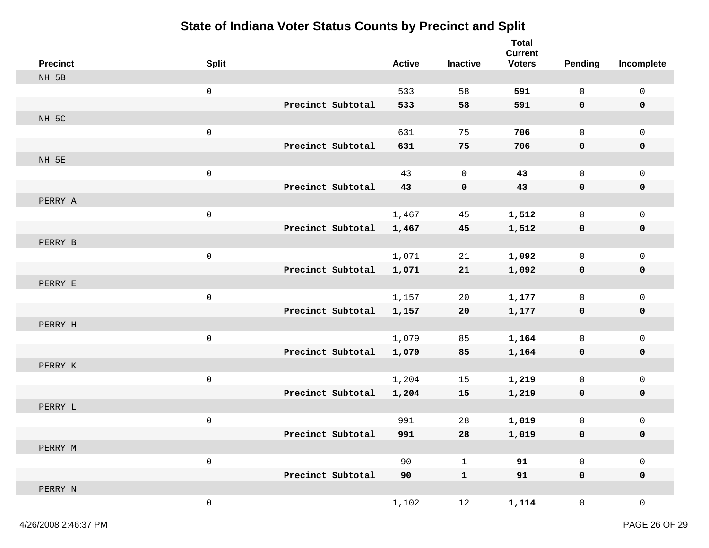| <b>Precinct</b> | <b>Split</b>        |                   | <b>Active</b> | <b>Inactive</b> | <b>Total</b><br><b>Current</b><br><b>Voters</b> | Pending             | Incomplete          |
|-----------------|---------------------|-------------------|---------------|-----------------|-------------------------------------------------|---------------------|---------------------|
| NH 5B           |                     |                   |               |                 |                                                 |                     |                     |
|                 | $\mathsf{O}\xspace$ |                   | 533           | 58              | 591                                             | $\mathsf{O}$        | $\mathsf{O}$        |
|                 |                     | Precinct Subtotal | 533           | 58              | 591                                             | 0                   | 0                   |
| NH 5C           |                     |                   |               |                 |                                                 |                     |                     |
|                 | $\mathsf{O}\xspace$ |                   | 631           | 75              | 706                                             | $\mathsf{O}$        | $\mathsf 0$         |
|                 |                     | Precinct Subtotal | 631           | 75              | 706                                             | $\mathbf 0$         | 0                   |
| NH 5E           |                     |                   |               |                 |                                                 |                     |                     |
|                 | $\mathbf 0$         |                   | 43            | $\mathbf 0$     | 43                                              | $\mathbf 0$         | $\mathsf{O}$        |
|                 |                     | Precinct Subtotal | 43            | 0               | 43                                              | 0                   | 0                   |
| PERRY A         |                     |                   |               |                 |                                                 |                     |                     |
|                 | $\mathsf{O}\xspace$ |                   | 1,467         | 45              | 1,512                                           | $\mathsf{O}\xspace$ | $\mathsf 0$         |
|                 |                     | Precinct Subtotal | 1,467         | 45              | 1,512                                           | 0                   | 0                   |
| PERRY B         |                     |                   |               |                 |                                                 |                     |                     |
|                 | $\mathsf{O}\xspace$ |                   | 1,071         | 21              | 1,092                                           | $\mathsf{O}$        | $\mathbf 0$         |
|                 |                     | Precinct Subtotal | 1,071         | 21              | 1,092                                           | 0                   | 0                   |
| PERRY E         |                     |                   |               |                 |                                                 |                     |                     |
|                 | $\mathsf{O}\xspace$ |                   | 1,157         | 20              | 1,177                                           | 0                   | $\mathbf 0$         |
|                 |                     | Precinct Subtotal | 1,157         | 20              | 1,177                                           | 0                   | 0                   |
| PERRY H         |                     |                   |               |                 |                                                 |                     |                     |
|                 | $\mathsf{O}\xspace$ |                   | 1,079         | 85              | 1,164                                           | $\mathsf{O}$        | $\mathsf 0$         |
|                 |                     | Precinct Subtotal | 1,079         | 85              | 1,164                                           | 0                   | 0                   |
| PERRY K         |                     |                   |               |                 |                                                 |                     |                     |
|                 | $\mathsf{O}\xspace$ |                   | 1,204         | 15              | 1,219                                           | $\mathbf 0$         | $\mathsf 0$         |
|                 |                     | Precinct Subtotal | 1,204         | 15              | 1,219                                           | 0                   | 0                   |
| PERRY L         |                     |                   |               |                 |                                                 |                     |                     |
|                 | $\mathsf{O}\xspace$ | Precinct Subtotal | 991           | 28              | 1,019                                           | 0                   | 0                   |
| PERRY M         |                     |                   | 991           | 28              | 1,019                                           | 0                   | 0                   |
|                 | $\mathsf{O}\xspace$ |                   | 90            | $\mathbf{1}$    | 91                                              | $\mathsf{O}\xspace$ | $\mathsf 0$         |
|                 |                     | Precinct Subtotal | 90            | $\mathbf 1$     | 91                                              | $\mathbf 0$         | $\mathbf 0$         |
| PERRY N         |                     |                   |               |                 |                                                 |                     |                     |
|                 | $\mathsf{O}\xspace$ |                   | 1,102         | $12$            | 1,114                                           | $\mathsf{O}$        | $\mathsf{O}\xspace$ |
|                 |                     |                   |               |                 |                                                 |                     |                     |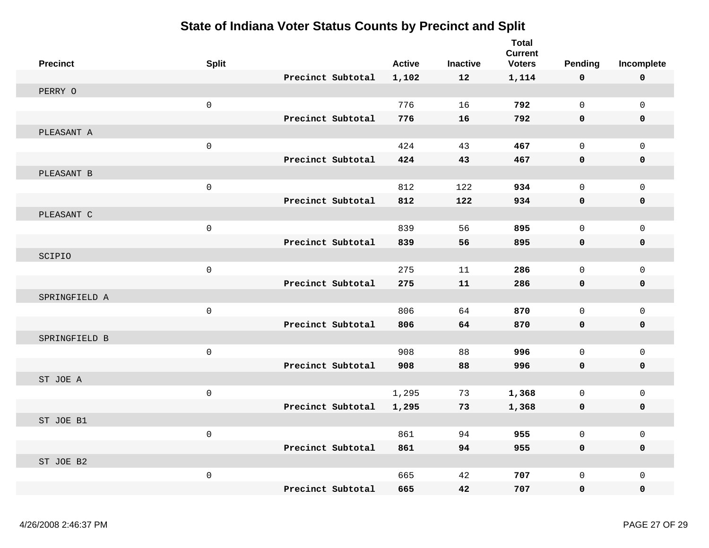| <b>Precinct</b> | <b>Split</b>        |                   | <b>Active</b> | <b>Inactive</b> | <b>Total</b><br><b>Current</b><br><b>Voters</b> | <b>Pending</b> | Incomplete          |
|-----------------|---------------------|-------------------|---------------|-----------------|-------------------------------------------------|----------------|---------------------|
|                 |                     | Precinct Subtotal | 1,102         | 12              | 1,114                                           | 0              | $\mathbf 0$         |
| PERRY O         |                     |                   |               |                 |                                                 |                |                     |
|                 | $\mathsf 0$         |                   | 776           | 16              | 792                                             | $\mathsf{O}$   | $\mathsf{O}\xspace$ |
|                 |                     | Precinct Subtotal | 776           | 16              | 792                                             | 0              | $\mathbf 0$         |
| PLEASANT A      |                     |                   |               |                 |                                                 |                |                     |
|                 | $\mathbf 0$         |                   | 424           | 43              | 467                                             | $\mathsf{O}$   | $\mathsf 0$         |
|                 |                     | Precinct Subtotal | 424           | 43              | 467                                             | 0              | $\mathbf 0$         |
| PLEASANT B      |                     |                   |               |                 |                                                 |                |                     |
|                 | $\mathsf 0$         |                   | 812           | 122             | 934                                             | $\mathsf{O}$   | $\mathsf 0$         |
|                 |                     | Precinct Subtotal | 812           | 122             | 934                                             | 0              | 0                   |
| PLEASANT C      |                     |                   |               |                 |                                                 |                |                     |
|                 | 0                   |                   | 839           | 56              | 895                                             | $\mathbf 0$    | $\mathbf 0$         |
|                 |                     | Precinct Subtotal | 839           | 56              | 895                                             | 0              | 0                   |
| SCIPIO          |                     |                   |               |                 |                                                 |                |                     |
|                 | $\mathsf{O}\xspace$ |                   | 275           | 11              | 286                                             | 0              | $\mathsf 0$         |
|                 |                     | Precinct Subtotal | 275           | 11              | 286                                             | 0              | 0                   |
| SPRINGFIELD A   |                     |                   |               |                 |                                                 |                |                     |
|                 | $\mathbf 0$         |                   | 806           | 64              | 870                                             | $\mathbf 0$    | $\mathbf 0$         |
|                 |                     | Precinct Subtotal | 806           | 64              | 870                                             | $\mathbf 0$    | $\mathbf 0$         |
| SPRINGFIELD B   |                     |                   |               |                 |                                                 |                |                     |
|                 | $\mathbf 0$         |                   | 908           | 88              | 996                                             | $\mathbf 0$    | $\mathbf 0$         |
|                 |                     | Precinct Subtotal | 908           | 88              | 996                                             | 0              | $\mathbf 0$         |
| ST JOE A        |                     |                   |               |                 |                                                 |                |                     |
|                 | $\mathsf 0$         |                   | 1,295         | 73              | 1,368                                           | 0              | $\mathbf 0$         |
|                 |                     | Precinct Subtotal | 1,295         | 73              | 1,368                                           | $\mathbf 0$    | $\mathbf 0$         |
| ST JOE B1       |                     |                   |               |                 |                                                 |                |                     |
|                 | $\mathbf 0$         |                   | 861           | 94              | 955                                             | $\mathsf{O}$   | $\mathsf{O}\xspace$ |
|                 |                     | Precinct Subtotal | 861           | 94              | 955                                             | $\mathbf 0$    | $\mathbf 0$         |
| ST JOE B2       |                     |                   |               |                 |                                                 |                |                     |
|                 | $\mathsf 0$         |                   | 665           | 42              | 707                                             | $\mathbf 0$    | $\mathbf 0$         |
|                 |                     | Precinct Subtotal | 665           | 42              | 707                                             | $\mathbf 0$    | $\mathbf 0$         |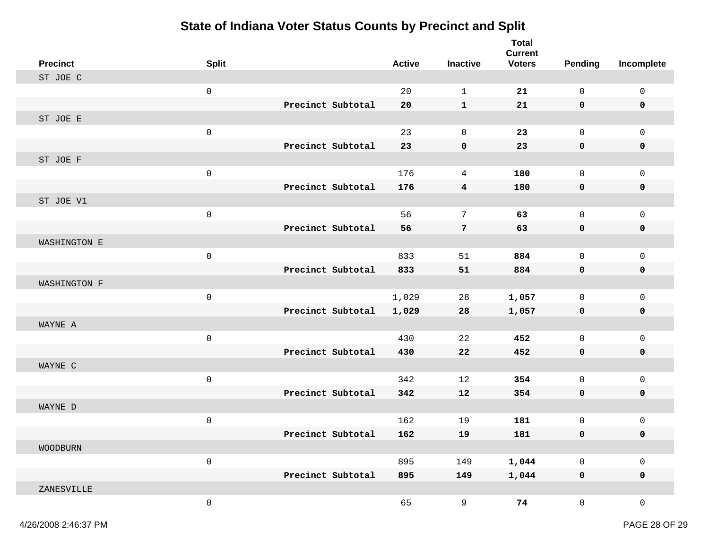| <b>Precinct</b> | <b>Split</b>        |                   | <b>Active</b> | <b>Inactive</b>         | <b>Total</b><br><b>Current</b><br><b>Voters</b> | <b>Pending</b>      | Incomplete          |
|-----------------|---------------------|-------------------|---------------|-------------------------|-------------------------------------------------|---------------------|---------------------|
| ST JOE C        |                     |                   |               |                         |                                                 |                     |                     |
|                 | $\mathsf{O}\xspace$ |                   | 20            | $\mathbf{1}$            | 21                                              | $\mathsf{O}\xspace$ | $\mathsf 0$         |
|                 |                     | Precinct Subtotal | 20            | $\mathbf{1}$            | 21                                              | 0                   | 0                   |
| ST JOE E        |                     |                   |               |                         |                                                 |                     |                     |
|                 | $\mathsf{O}\xspace$ |                   | 23            | $\mathbf 0$             | 23                                              | $\mathsf{O}$        | $\mathsf 0$         |
|                 |                     | Precinct Subtotal | 23            | 0                       | 23                                              | 0                   | 0                   |
| ST JOE F        |                     |                   |               |                         |                                                 |                     |                     |
|                 | $\mathbb O$         |                   | 176           | 4                       | 180                                             | 0                   | $\mathsf 0$         |
|                 |                     | Precinct Subtotal | 176           | $\overline{\mathbf{4}}$ | 180                                             | 0                   | 0                   |
| ST JOE V1       |                     |                   |               |                         |                                                 |                     |                     |
|                 | $\mathsf{O}\xspace$ |                   | 56            | 7                       | 63                                              | $\mathsf{O}$        | $\mathsf 0$         |
|                 |                     | Precinct Subtotal | 56            | 7                       | 63                                              | 0                   | 0                   |
| WASHINGTON E    |                     |                   |               |                         |                                                 |                     |                     |
|                 | $\mathsf{O}\xspace$ |                   | 833           | 51                      | 884                                             | $\mathsf{O}$        | $\mathsf 0$         |
|                 |                     | Precinct Subtotal | 833           | 51                      | 884                                             | 0                   | 0                   |
| WASHINGTON F    |                     |                   |               |                         |                                                 |                     |                     |
|                 | $\mathsf{O}\xspace$ |                   | 1,029         | 28                      | 1,057                                           | 0                   | $\mathbf 0$         |
|                 |                     | Precinct Subtotal | 1,029         | 28                      | 1,057                                           | $\mathbf 0$         | 0                   |
| WAYNE A         |                     |                   |               |                         |                                                 |                     |                     |
|                 | $\mathsf{O}\xspace$ |                   | 430           | 22                      | 452                                             | $\mathsf{O}$        | $\mathsf 0$         |
|                 |                     | Precinct Subtotal | 430           | 22                      | 452                                             | 0                   | 0                   |
| WAYNE C         |                     |                   |               |                         |                                                 |                     |                     |
|                 | $\mathsf{O}\xspace$ |                   | 342           | 12                      | 354                                             | $\mathsf{O}$        | $\mathsf 0$         |
|                 |                     | Precinct Subtotal | 342           | 12                      | 354                                             | 0                   | 0                   |
| WAYNE D         |                     |                   |               |                         |                                                 |                     |                     |
|                 | $\mathsf 0$         |                   | 162           | 19                      | 181                                             | 0                   | $\mathbf 0$         |
|                 |                     | Precinct Subtotal | 162           | 19                      | 181                                             | 0                   | 0                   |
| <b>WOODBURN</b> |                     |                   |               |                         |                                                 |                     |                     |
|                 | $\mathsf{O}\xspace$ |                   | 895           | 149                     | 1,044                                           | $\mathsf{O}\xspace$ | $\mathsf{O}\xspace$ |
|                 |                     | Precinct Subtotal | 895           | 149                     | 1,044                                           | $\mathbf 0$         | $\mathbf 0$         |
| ZANESVILLE      |                     |                   |               |                         |                                                 |                     |                     |
|                 | $\mathsf{O}\xspace$ |                   | 65            | 9                       | 74                                              | $\mathsf{O}$        | $\mathsf{O}\xspace$ |